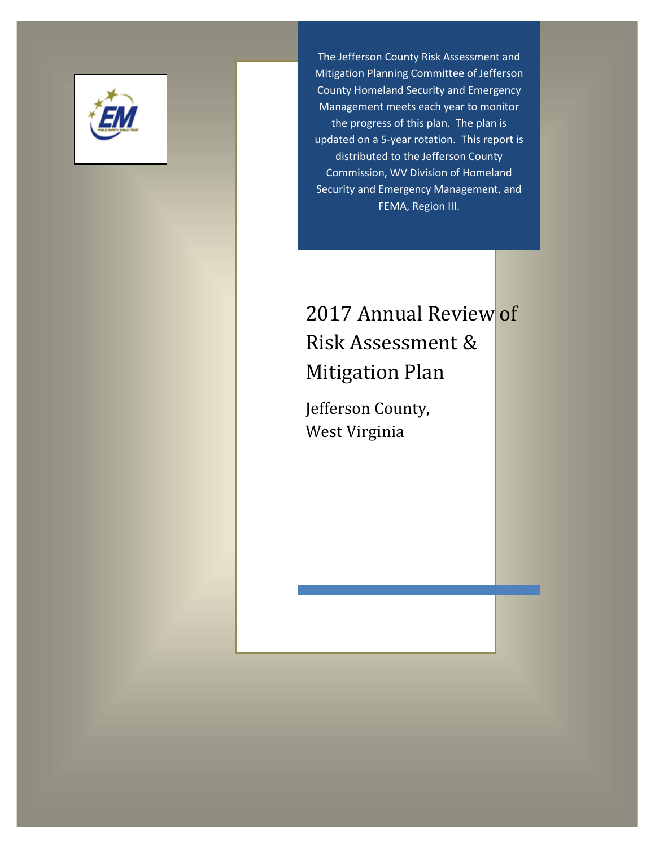

The Jefferson County Risk Assessment and Mitigation Planning Committee of Jefferson County Homeland Security and Emergency Management meets each year to monitor the progress of this plan. The plan is updated on a 5-year rotation. This report is distributed to the Jefferson County Commission, WV Division of Homeland Security and Emergency Management, and FEMA, Region III.

# 2017 Annual Review of Risk Assessment & Mitigation Plan

Jefferson County, West Virginia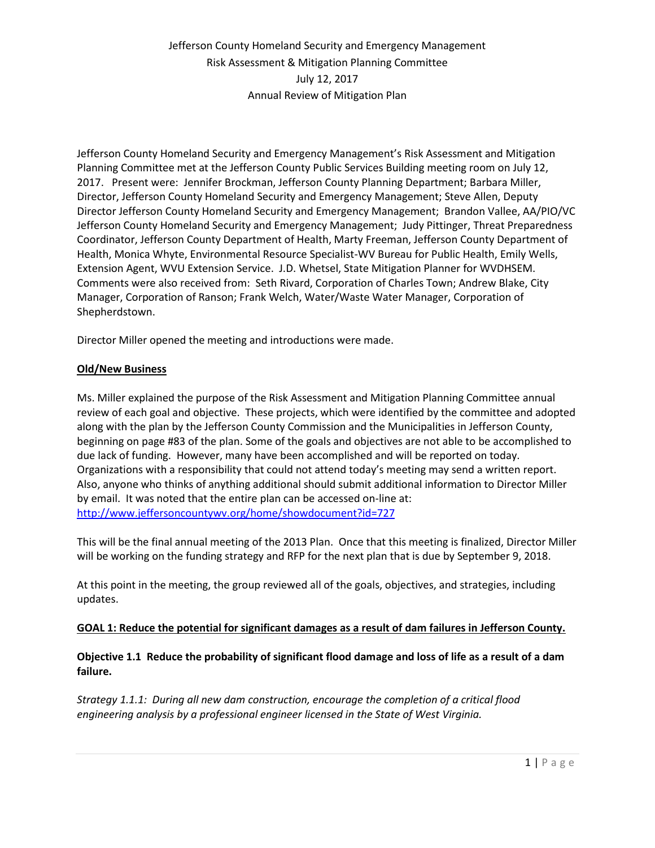Jefferson County Homeland Security and Emergency Management's Risk Assessment and Mitigation Planning Committee met at the Jefferson County Public Services Building meeting room on July 12, 2017. Present were: Jennifer Brockman, Jefferson County Planning Department; Barbara Miller, Director, Jefferson County Homeland Security and Emergency Management; Steve Allen, Deputy Director Jefferson County Homeland Security and Emergency Management; Brandon Vallee, AA/PIO/VC Jefferson County Homeland Security and Emergency Management; Judy Pittinger, Threat Preparedness Coordinator, Jefferson County Department of Health, Marty Freeman, Jefferson County Department of Health, Monica Whyte, Environmental Resource Specialist-WV Bureau for Public Health, Emily Wells, Extension Agent, WVU Extension Service. J.D. Whetsel, State Mitigation Planner for WVDHSEM. Comments were also received from: Seth Rivard, Corporation of Charles Town; Andrew Blake, City Manager, Corporation of Ranson; Frank Welch, Water/Waste Water Manager, Corporation of Shepherdstown.

Director Miller opened the meeting and introductions were made.

#### **Old/New Business**

Ms. Miller explained the purpose of the Risk Assessment and Mitigation Planning Committee annual review of each goal and objective. These projects, which were identified by the committee and adopted along with the plan by the Jefferson County Commission and the Municipalities in Jefferson County, beginning on page #83 of the plan. Some of the goals and objectives are not able to be accomplished to due lack of funding. However, many have been accomplished and will be reported on today. Organizations with a responsibility that could not attend today's meeting may send a written report. Also, anyone who thinks of anything additional should submit additional information to Director Miller by email. It was noted that the entire plan can be accessed on-line at: <http://www.jeffersoncountywv.org/home/showdocument?id=727>

This will be the final annual meeting of the 2013 Plan. Once that this meeting is finalized, Director Miller will be working on the funding strategy and RFP for the next plan that is due by September 9, 2018.

At this point in the meeting, the group reviewed all of the goals, objectives, and strategies, including updates.

#### **GOAL 1: Reduce the potential for significant damages as a result of dam failures in Jefferson County.**

**Objective 1.1 Reduce the probability of significant flood damage and loss of life as a result of a dam failure.**

*Strategy 1.1.1: During all new dam construction, encourage the completion of a critical flood engineering analysis by a professional engineer licensed in the State of West Virginia.*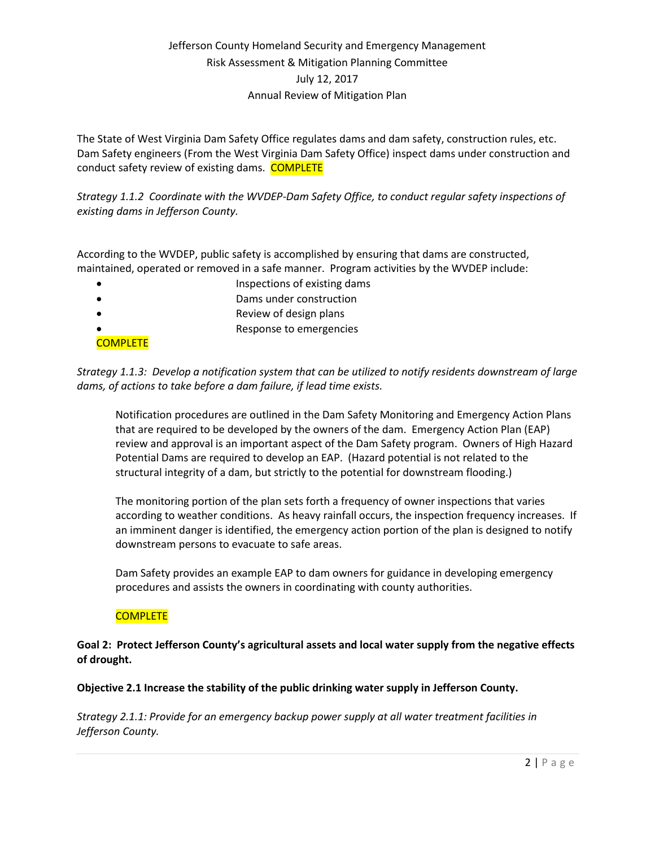The State of West Virginia Dam Safety Office regulates dams and dam safety, construction rules, etc. Dam Safety engineers (From the West Virginia Dam Safety Office) inspect dams under construction and conduct safety review of existing dams. COMPLETE

*Strategy 1.1.2 Coordinate with the WVDEP-Dam Safety Office, to conduct regular safety inspections of existing dams in Jefferson County.* 

According to the WVDEP, public safety is accomplished by ensuring that dams are constructed, maintained, operated or removed in a safe manner. Program activities by the WVDEP include:

- Inspections of existing dams
- Dams under construction
- Review of design plans
- Response to emergencies

*Strategy 1.1.3: Develop a notification system that can be utilized to notify residents downstream of large dams, of actions to take before a dam failure, if lead time exists.*

Notification procedures are outlined in the Dam Safety Monitoring and Emergency Action Plans that are required to be developed by the owners of the dam. Emergency Action Plan (EAP) review and approval is an important aspect of the Dam Safety program. Owners of High Hazard Potential Dams are required to develop an EAP. (Hazard potential is not related to the structural integrity of a dam, but strictly to the potential for downstream flooding.)

The monitoring portion of the plan sets forth a frequency of owner inspections that varies according to weather conditions. As heavy rainfall occurs, the inspection frequency increases. If an imminent danger is identified, the emergency action portion of the plan is designed to notify downstream persons to evacuate to safe areas.

Dam Safety provides an example EAP to dam owners for guidance in developing emergency procedures and assists the owners in coordinating with county authorities.

### **COMPLETE**

**COMPLETE** 

**Goal 2: Protect Jefferson County's agricultural assets and local water supply from the negative effects of drought.**

### **Objective 2.1 Increase the stability of the public drinking water supply in Jefferson County.**

*Strategy 2.1.1: Provide for an emergency backup power supply at all water treatment facilities in Jefferson County.*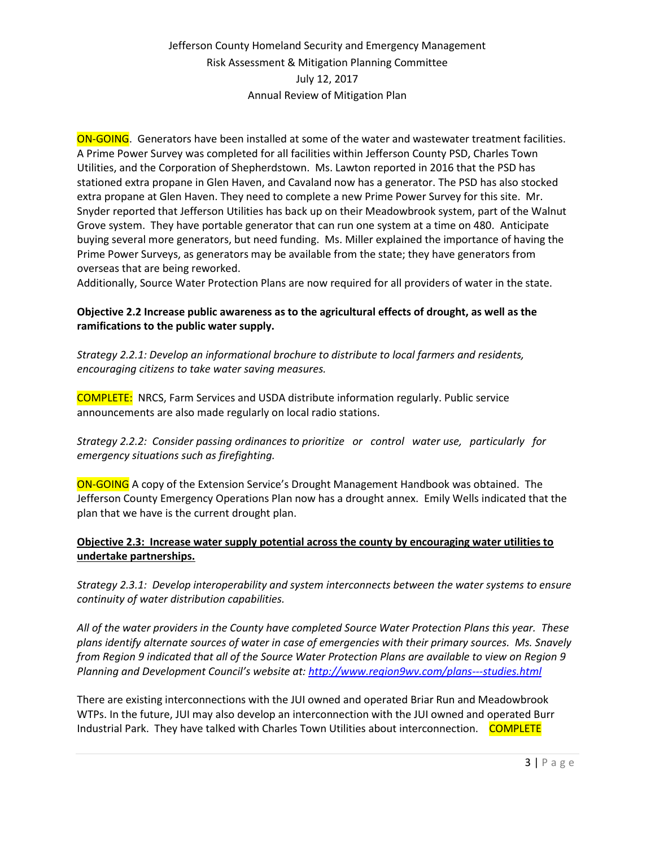ON-GOING. Generators have been installed at some of the water and wastewater treatment facilities. A Prime Power Survey was completed for all facilities within Jefferson County PSD, Charles Town Utilities, and the Corporation of Shepherdstown. Ms. Lawton reported in 2016 that the PSD has stationed extra propane in Glen Haven, and Cavaland now has a generator. The PSD has also stocked extra propane at Glen Haven. They need to complete a new Prime Power Survey for this site. Mr. Snyder reported that Jefferson Utilities has back up on their Meadowbrook system, part of the Walnut Grove system. They have portable generator that can run one system at a time on 480. Anticipate buying several more generators, but need funding. Ms. Miller explained the importance of having the Prime Power Surveys, as generators may be available from the state; they have generators from overseas that are being reworked.

Additionally, Source Water Protection Plans are now required for all providers of water in the state.

### **Objective 2.2 Increase public awareness as to the agricultural effects of drought, as well as the ramifications to the public water supply.**

*Strategy 2.2.1: Develop an informational brochure to distribute to local farmers and residents, encouraging citizens to take water saving measures.* 

COMPLETE: NRCS, Farm Services and USDA distribute information regularly. Public service announcements are also made regularly on local radio stations.

*Strategy 2.2.2: Consider passing ordinances to prioritize or control water use, particularly for emergency situations such as firefighting.*

ON-GOING A copy of the Extension Service's Drought Management Handbook was obtained. The Jefferson County Emergency Operations Plan now has a drought annex. Emily Wells indicated that the plan that we have is the current drought plan.

### **Objective 2.3: Increase water supply potential across the county by encouraging water utilities to undertake partnerships.**

*Strategy 2.3.1: Develop interoperability and system interconnects between the water systems to ensure continuity of water distribution capabilities.*

*All of the water providers in the County have completed Source Water Protection Plans this year. These plans identify alternate sources of water in case of emergencies with their primary sources. Ms. Snavely from Region 9 indicated that all of the Source Water Protection Plans are available to view on Region 9 Planning and Development Council's website at: <http://www.region9wv.com/plans---studies.html>*

There are existing interconnections with the JUI owned and operated Briar Run and Meadowbrook WTPs. In the future, JUI may also develop an interconnection with the JUI owned and operated Burr Industrial Park. They have talked with Charles Town Utilities about interconnection. COMPLETE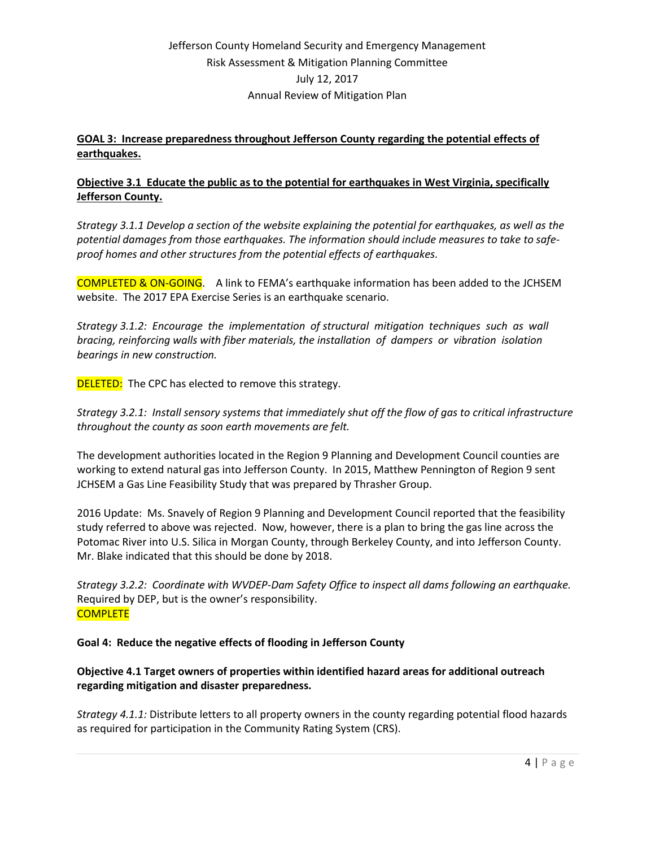### **GOAL 3: Increase preparedness throughout Jefferson County regarding the potential effects of earthquakes.**

### **Objective 3.1 Educate the public as to the potential for earthquakes in West Virginia, specifically Jefferson County.**

*Strategy 3.1.1 Develop a section of the website explaining the potential for earthquakes, as well as the potential damages from those earthquakes. The information should include measures to take to safeproof homes and other structures from the potential effects of earthquakes.*

COMPLETED & ON-GOING. A link to FEMA's earthquake information has been added to the JCHSEM website. The 2017 EPA Exercise Series is an earthquake scenario.

*Strategy 3.1.2: Encourage the implementation of structural mitigation techniques such as wall bracing, reinforcing walls with fiber materials, the installation of dampers or vibration isolation bearings in new construction.*

**DELETED:** The CPC has elected to remove this strategy.

*Strategy 3.2.1: Install sensory systems that immediately shut off the flow of gas to critical infrastructure throughout the county as soon earth movements are felt.*

The development authorities located in the Region 9 Planning and Development Council counties are working to extend natural gas into Jefferson County. In 2015, Matthew Pennington of Region 9 sent JCHSEM a Gas Line Feasibility Study that was prepared by Thrasher Group.

2016 Update: Ms. Snavely of Region 9 Planning and Development Council reported that the feasibility study referred to above was rejected. Now, however, there is a plan to bring the gas line across the Potomac River into U.S. Silica in Morgan County, through Berkeley County, and into Jefferson County. Mr. Blake indicated that this should be done by 2018.

*Strategy 3.2.2: Coordinate with WVDEP-Dam Safety Office to inspect all dams following an earthquake.* Required by DEP, but is the owner's responsibility. **COMPLETE** 

### **Goal 4: Reduce the negative effects of flooding in Jefferson County**

**Objective 4.1 Target owners of properties within identified hazard areas for additional outreach regarding mitigation and disaster preparedness.**

*Strategy 4.1.1:* Distribute letters to all property owners in the county regarding potential flood hazards as required for participation in the Community Rating System (CRS).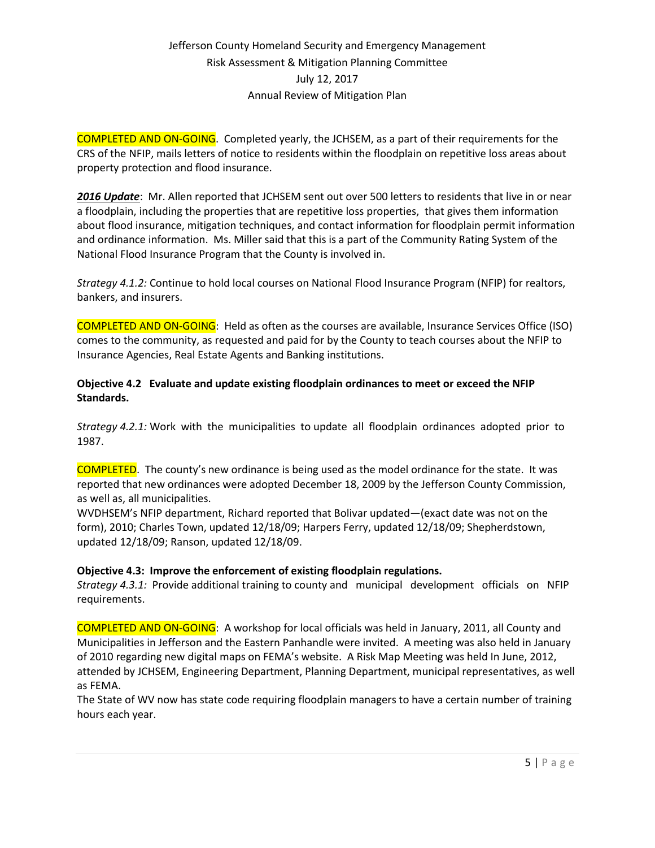COMPLETED AND ON-GOING. Completed yearly, the JCHSEM, as a part of their requirements for the CRS of the NFIP, mails letters of notice to residents within the floodplain on repetitive loss areas about property protection and flood insurance.

*2016 Update*: Mr. Allen reported that JCHSEM sent out over 500 letters to residents that live in or near a floodplain, including the properties that are repetitive loss properties, that gives them information about flood insurance, mitigation techniques, and contact information for floodplain permit information and ordinance information. Ms. Miller said that this is a part of the Community Rating System of the National Flood Insurance Program that the County is involved in.

*Strategy 4.1.2:* Continue to hold local courses on National Flood Insurance Program (NFIP) for realtors, bankers, and insurers.

COMPLETED AND ON-GOING: Held as often as the courses are available, Insurance Services Office (ISO) comes to the community, as requested and paid for by the County to teach courses about the NFIP to Insurance Agencies, Real Estate Agents and Banking institutions.

### **Objective 4.2 Evaluate and update existing floodplain ordinances to meet or exceed the NFIP Standards.**

*Strategy 4.2.1:* Work with the municipalities to update all floodplain ordinances adopted prior to 1987.

COMPLETED. The county's new ordinance is being used as the model ordinance for the state. It was reported that new ordinances were adopted December 18, 2009 by the Jefferson County Commission, as well as, all municipalities.

WVDHSEM's NFIP department, Richard reported that Bolivar updated—(exact date was not on the form), 2010; Charles Town, updated 12/18/09; Harpers Ferry, updated 12/18/09; Shepherdstown, updated 12/18/09; Ranson, updated 12/18/09.

### **Objective 4.3: Improve the enforcement of existing floodplain regulations.**

*Strategy 4.3.1:* Provide additional training to county and municipal development officials on NFIP requirements.

COMPLETED AND ON-GOING: A workshop for local officials was held in January, 2011, all County and Municipalities in Jefferson and the Eastern Panhandle were invited. A meeting was also held in January of 2010 regarding new digital maps on FEMA's website. A Risk Map Meeting was held In June, 2012, attended by JCHSEM, Engineering Department, Planning Department, municipal representatives, as well as FEMA.

The State of WV now has state code requiring floodplain managers to have a certain number of training hours each year.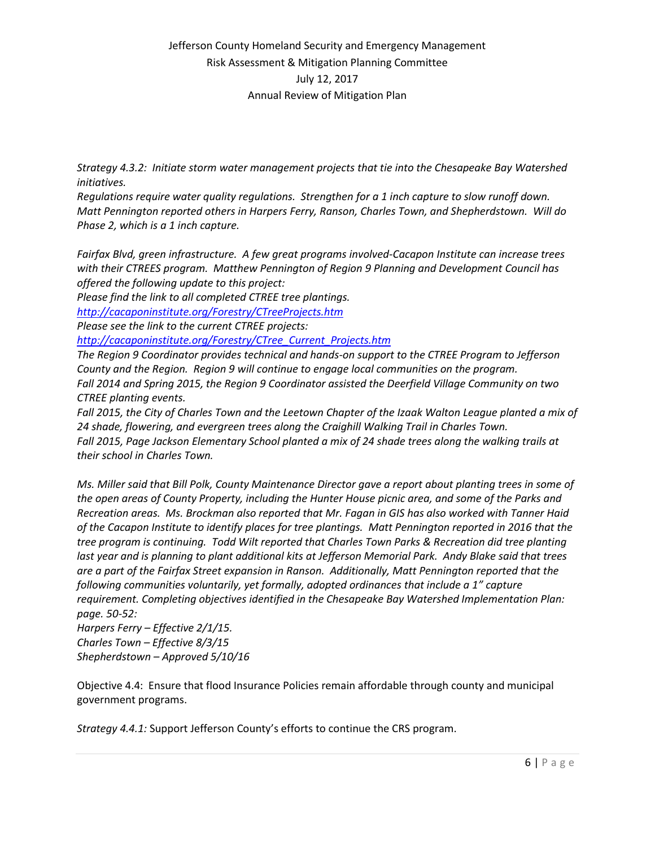*Strategy 4.3.2: Initiate storm water management projects that tie into the Chesapeake Bay Watershed initiatives.*

*Regulations require water quality regulations. Strengthen for a 1 inch capture to slow runoff down. Matt Pennington reported others in Harpers Ferry, Ranson, Charles Town, and Shepherdstown. Will do Phase 2, which is a 1 inch capture.* 

*Fairfax Blvd, green infrastructure. A few great programs involved-Cacapon Institute can increase trees with their CTREES program. Matthew Pennington of Region 9 Planning and Development Council has offered the following update to this project:*

*Please find the link to all completed CTREE tree plantings.* 

*<http://cacaponinstitute.org/Forestry/CTreeProjects.htm>*

*Please see the link to the current CTREE projects:* 

*[http://cacaponinstitute.org/Forestry/CTree\\_Current\\_Projects.htm](http://cacaponinstitute.org/Forestry/CTree_Current_Projects.htm)*

*The Region 9 Coordinator provides technical and hands-on support to the CTREE Program to Jefferson County and the Region. Region 9 will continue to engage local communities on the program. Fall 2014 and Spring 2015, the Region 9 Coordinator assisted the Deerfield Village Community on two CTREE planting events.*

Fall 2015, the City of Charles Town and the Leetown Chapter of the Izaak Walton League planted a mix of *24 shade, flowering, and evergreen trees along the Craighill Walking Trail in Charles Town. Fall 2015, Page Jackson Elementary School planted a mix of 24 shade trees along the walking trails at their school in Charles Town.*

*Ms. Miller said that Bill Polk, County Maintenance Director gave a report about planting trees in some of the open areas of County Property, including the Hunter House picnic area, and some of the Parks and Recreation areas. Ms. Brockman also reported that Mr. Fagan in GIS has also worked with Tanner Haid of the Cacapon Institute to identify places for tree plantings. Matt Pennington reported in 2016 that the tree program is continuing. Todd Wilt reported that Charles Town Parks & Recreation did tree planting last year and is planning to plant additional kits at Jefferson Memorial Park. Andy Blake said that trees are a part of the Fairfax Street expansion in Ranson. Additionally, Matt Pennington reported that the following communities voluntarily, yet formally, adopted ordinances that include a 1" capture requirement. Completing objectives identified in the Chesapeake Bay Watershed Implementation Plan: page. 50-52:*

*Harpers Ferry – Effective 2/1/15. Charles Town – Effective 8/3/15 Shepherdstown – Approved 5/10/16*

Objective 4.4: Ensure that flood Insurance Policies remain affordable through county and municipal government programs.

*Strategy 4.4.1:* Support Jefferson County's efforts to continue the CRS program.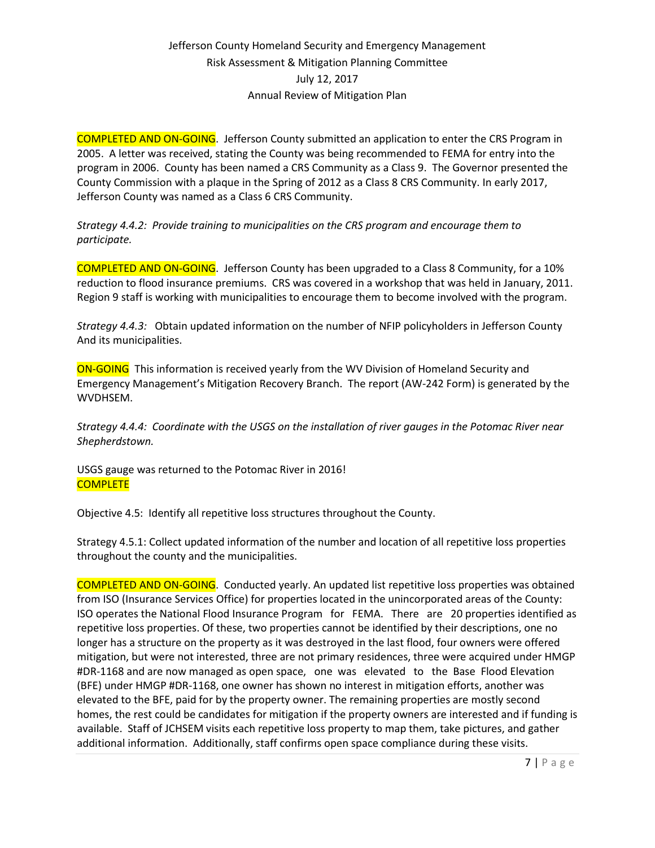COMPLETED AND ON-GOING. Jefferson County submitted an application to enter the CRS Program in 2005. A letter was received, stating the County was being recommended to FEMA for entry into the program in 2006. County has been named a CRS Community as a Class 9. The Governor presented the County Commission with a plaque in the Spring of 2012 as a Class 8 CRS Community. In early 2017, Jefferson County was named as a Class 6 CRS Community.

*Strategy 4.4.2: Provide training to municipalities on the CRS program and encourage them to participate.* 

COMPLETED AND ON-GOING. Jefferson County has been upgraded to a Class 8 Community, for a 10% reduction to flood insurance premiums. CRS was covered in a workshop that was held in January, 2011. Region 9 staff is working with municipalities to encourage them to become involved with the program.

*Strategy 4.4.3:* Obtain updated information on the number of NFIP policyholders in Jefferson County And its municipalities.

**ON-GOING** This information is received yearly from the WV Division of Homeland Security and Emergency Management's Mitigation Recovery Branch. The report (AW-242 Form) is generated by the WVDHSEM.

*Strategy 4.4.4: Coordinate with the USGS on the installation of river gauges in the Potomac River near Shepherdstown.*

USGS gauge was returned to the Potomac River in 2016! **COMPLETE** 

Objective 4.5: Identify all repetitive loss structures throughout the County.

Strategy 4.5.1: Collect updated information of the number and location of all repetitive loss properties throughout the county and the municipalities.

COMPLETED AND ON-GOING. Conducted yearly. An updated list repetitive loss properties was obtained from ISO (Insurance Services Office) for properties located in the unincorporated areas of the County: ISO operates the National Flood Insurance Program for FEMA. There are 20 properties identified as repetitive loss properties. Of these, two properties cannot be identified by their descriptions, one no longer has a structure on the property as it was destroyed in the last flood, four owners were offered mitigation, but were not interested, three are not primary residences, three were acquired under HMGP #DR-1168 and are now managed as open space, one was elevated to the Base Flood Elevation (BFE) under HMGP #DR-1168, one owner has shown no interest in mitigation efforts, another was elevated to the BFE, paid for by the property owner. The remaining properties are mostly second homes, the rest could be candidates for mitigation if the property owners are interested and if funding is available. Staff of JCHSEM visits each repetitive loss property to map them, take pictures, and gather additional information. Additionally, staff confirms open space compliance during these visits.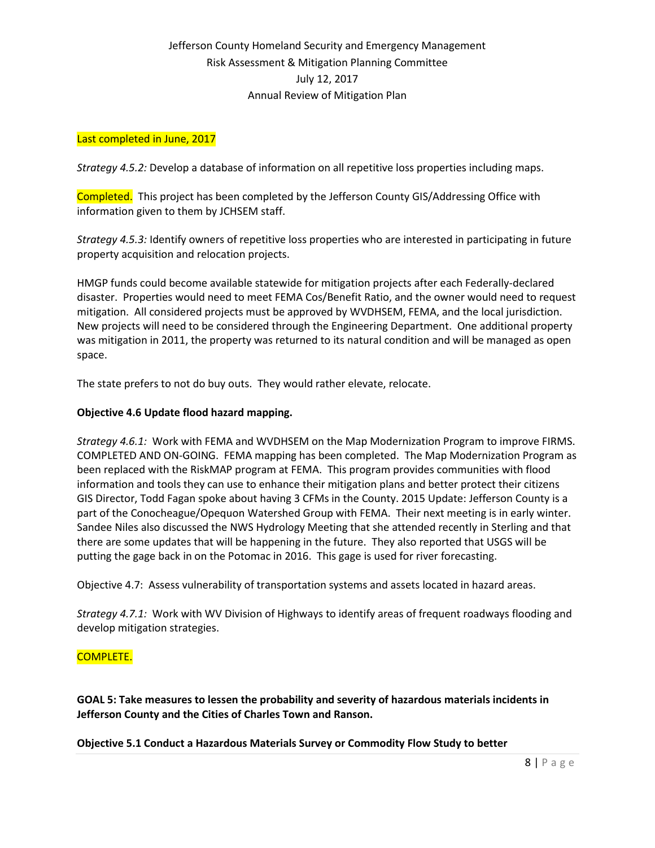#### Last completed in June, 2017

*Strategy 4.5.2:* Develop a database of information on all repetitive loss properties including maps.

Completed. This project has been completed by the Jefferson County GIS/Addressing Office with information given to them by JCHSEM staff.

*Strategy 4.5.3:* Identify owners of repetitive loss properties who are interested in participating in future property acquisition and relocation projects.

HMGP funds could become available statewide for mitigation projects after each Federally-declared disaster. Properties would need to meet FEMA Cos/Benefit Ratio, and the owner would need to request mitigation. All considered projects must be approved by WVDHSEM, FEMA, and the local jurisdiction. New projects will need to be considered through the Engineering Department. One additional property was mitigation in 2011, the property was returned to its natural condition and will be managed as open space.

The state prefers to not do buy outs. They would rather elevate, relocate.

#### **Objective 4.6 Update flood hazard mapping.**

*Strategy 4.6.1:* Work with FEMA and WVDHSEM on the Map Modernization Program to improve FIRMS. COMPLETED AND ON-GOING. FEMA mapping has been completed. The Map Modernization Program as been replaced with the RiskMAP program at FEMA. This program provides communities with flood information and tools they can use to enhance their mitigation plans and better protect their citizens GIS Director, Todd Fagan spoke about having 3 CFMs in the County. 2015 Update: Jefferson County is a part of the Conocheague/Opequon Watershed Group with FEMA. Their next meeting is in early winter. Sandee Niles also discussed the NWS Hydrology Meeting that she attended recently in Sterling and that there are some updates that will be happening in the future. They also reported that USGS will be putting the gage back in on the Potomac in 2016. This gage is used for river forecasting.

Objective 4.7: Assess vulnerability of transportation systems and assets located in hazard areas.

*Strategy 4.7.1:* Work with WV Division of Highways to identify areas of frequent roadways flooding and develop mitigation strategies.

#### COMPLETE.

**GOAL 5: Take measures to lessen the probability and severity of hazardous materials incidents in Jefferson County and the Cities of Charles Town and Ranson.**

**Objective 5.1 Conduct a Hazardous Materials Survey or Commodity Flow Study to better**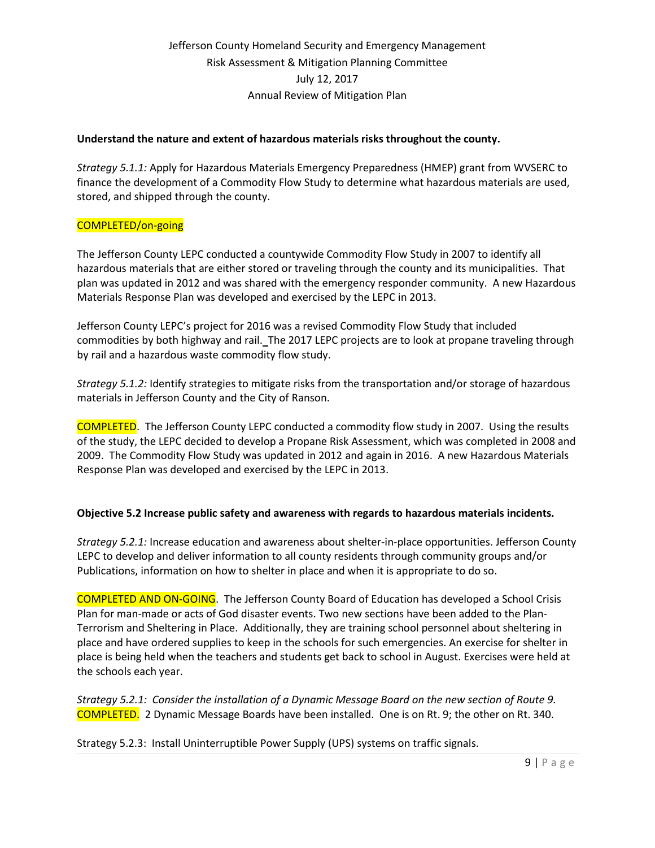#### **Understand the nature and extent of hazardous materials risks throughout the county.**

*Strategy 5.1.1:* Apply for Hazardous Materials Emergency Preparedness (HMEP) grant from WVSERC to finance the development of a Commodity Flow Study to determine what hazardous materials are used, stored, and shipped through the county.

#### COMPLETED/on-going

The Jefferson County LEPC conducted a countywide Commodity Flow Study in 2007 to identify all hazardous materials that are either stored or traveling through the county and its municipalities. That plan was updated in 2012 and was shared with the emergency responder community. A new Hazardous Materials Response Plan was developed and exercised by the LEPC in 2013.

Jefferson County LEPC's project for 2016 was a revised Commodity Flow Study that included commodities by both highway and rail. The 2017 LEPC projects are to look at propane traveling through by rail and a hazardous waste commodity flow study.

*Strategy 5.1.2:* Identify strategies to mitigate risks from the transportation and/or storage of hazardous materials in Jefferson County and the City of Ranson.

COMPLETED. The Jefferson County LEPC conducted a commodity flow study in 2007. Using the results of the study, the LEPC decided to develop a Propane Risk Assessment, which was completed in 2008 and 2009. The Commodity Flow Study was updated in 2012 and again in 2016. A new Hazardous Materials Response Plan was developed and exercised by the LEPC in 2013.

#### **Objective 5.2 Increase public safety and awareness with regards to hazardous materials incidents.**

*Strategy 5.2.1:* Increase education and awareness about shelter-in-place opportunities. Jefferson County LEPC to develop and deliver information to all county residents through community groups and/or Publications, information on how to shelter in place and when it is appropriate to do so.

COMPLETED AND ON-GOING. The Jefferson County Board of Education has developed a School Crisis Plan for man-made or acts of God disaster events. Two new sections have been added to the Plan-Terrorism and Sheltering in Place. Additionally, they are training school personnel about sheltering in place and have ordered supplies to keep in the schools for such emergencies. An exercise for shelter in place is being held when the teachers and students get back to school in August. Exercises were held at the schools each year.

*Strategy 5.2.1: Consider the installation of a Dynamic Message Board on the new section of Route 9.* COMPLETED. 2 Dynamic Message Boards have been installed. One is on Rt. 9; the other on Rt. 340.

Strategy 5.2.3: Install Uninterruptible Power Supply (UPS) systems on traffic signals.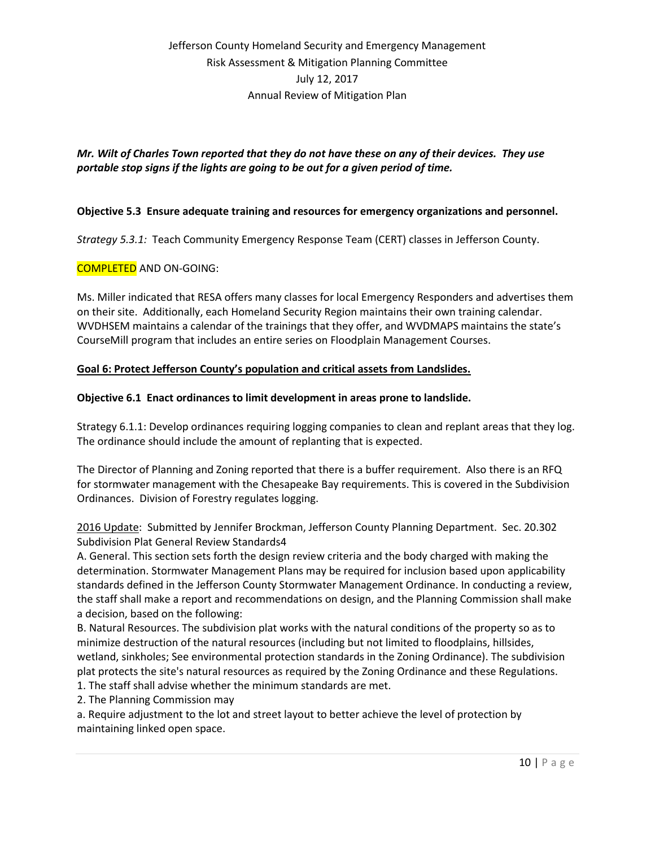### *Mr. Wilt of Charles Town reported that they do not have these on any of their devices. They use portable stop signs if the lights are going to be out for a given period of time.*

### **Objective 5.3 Ensure adequate training and resources for emergency organizations and personnel.**

*Strategy 5.3.1:* Teach Community Emergency Response Team (CERT) classes in Jefferson County.

#### COMPLETED AND ON-GOING:

Ms. Miller indicated that RESA offers many classes for local Emergency Responders and advertises them on their site. Additionally, each Homeland Security Region maintains their own training calendar. WVDHSEM maintains a calendar of the trainings that they offer, and WVDMAPS maintains the state's CourseMill program that includes an entire series on Floodplain Management Courses.

#### **Goal 6: Protect Jefferson County's population and critical assets from Landslides.**

#### **Objective 6.1 Enact ordinances to limit development in areas prone to landslide.**

Strategy 6.1.1: Develop ordinances requiring logging companies to clean and replant areas that they log. The ordinance should include the amount of replanting that is expected.

The Director of Planning and Zoning reported that there is a buffer requirement. Also there is an RFQ for stormwater management with the Chesapeake Bay requirements. This is covered in the Subdivision Ordinances. Division of Forestry regulates logging.

2016 Update: Submitted by Jennifer Brockman, Jefferson County Planning Department. Sec. 20.302 Subdivision Plat General Review Standards4

A. General. This section sets forth the design review criteria and the body charged with making the determination. Stormwater Management Plans may be required for inclusion based upon applicability standards defined in the Jefferson County Stormwater Management Ordinance. In conducting a review, the staff shall make a report and recommendations on design, and the Planning Commission shall make a decision, based on the following:

B. Natural Resources. The subdivision plat works with the natural conditions of the property so as to minimize destruction of the natural resources (including but not limited to floodplains, hillsides, wetland, sinkholes; See environmental protection standards in the Zoning Ordinance). The subdivision plat protects the site's natural resources as required by the Zoning Ordinance and these Regulations.

- 1. The staff shall advise whether the minimum standards are met.
- 2. The Planning Commission may

a. Require adjustment to the lot and street layout to better achieve the level of protection by maintaining linked open space.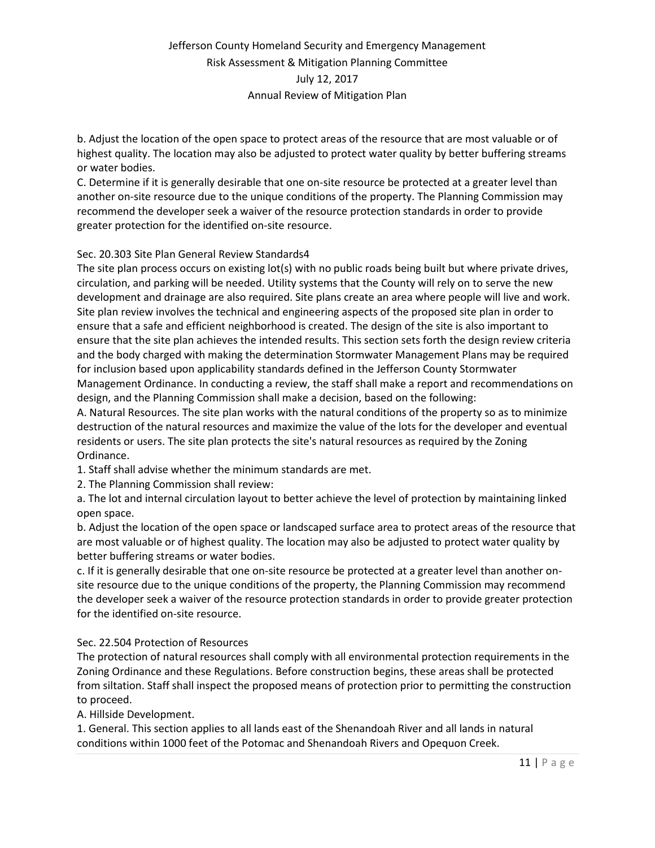b. Adjust the location of the open space to protect areas of the resource that are most valuable or of highest quality. The location may also be adjusted to protect water quality by better buffering streams or water bodies.

C. Determine if it is generally desirable that one on-site resource be protected at a greater level than another on-site resource due to the unique conditions of the property. The Planning Commission may recommend the developer seek a waiver of the resource protection standards in order to provide greater protection for the identified on-site resource.

### Sec. 20.303 Site Plan General Review Standards4

The site plan process occurs on existing lot(s) with no public roads being built but where private drives, circulation, and parking will be needed. Utility systems that the County will rely on to serve the new development and drainage are also required. Site plans create an area where people will live and work. Site plan review involves the technical and engineering aspects of the proposed site plan in order to ensure that a safe and efficient neighborhood is created. The design of the site is also important to ensure that the site plan achieves the intended results. This section sets forth the design review criteria and the body charged with making the determination Stormwater Management Plans may be required for inclusion based upon applicability standards defined in the Jefferson County Stormwater Management Ordinance. In conducting a review, the staff shall make a report and recommendations on design, and the Planning Commission shall make a decision, based on the following:

A. Natural Resources. The site plan works with the natural conditions of the property so as to minimize destruction of the natural resources and maximize the value of the lots for the developer and eventual residents or users. The site plan protects the site's natural resources as required by the Zoning Ordinance.

1. Staff shall advise whether the minimum standards are met.

2. The Planning Commission shall review:

a. The lot and internal circulation layout to better achieve the level of protection by maintaining linked open space.

b. Adjust the location of the open space or landscaped surface area to protect areas of the resource that are most valuable or of highest quality. The location may also be adjusted to protect water quality by better buffering streams or water bodies.

c. If it is generally desirable that one on-site resource be protected at a greater level than another onsite resource due to the unique conditions of the property, the Planning Commission may recommend the developer seek a waiver of the resource protection standards in order to provide greater protection for the identified on-site resource.

#### Sec. 22.504 Protection of Resources

The protection of natural resources shall comply with all environmental protection requirements in the Zoning Ordinance and these Regulations. Before construction begins, these areas shall be protected from siltation. Staff shall inspect the proposed means of protection prior to permitting the construction to proceed.

A. Hillside Development.

1. General. This section applies to all lands east of the Shenandoah River and all lands in natural conditions within 1000 feet of the Potomac and Shenandoah Rivers and Opequon Creek.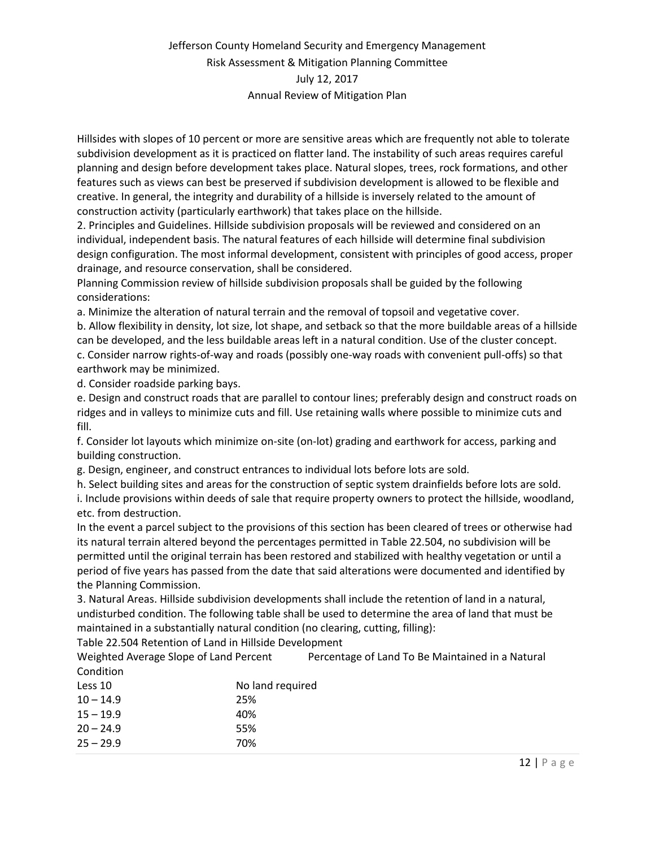Hillsides with slopes of 10 percent or more are sensitive areas which are frequently not able to tolerate subdivision development as it is practiced on flatter land. The instability of such areas requires careful planning and design before development takes place. Natural slopes, trees, rock formations, and other features such as views can best be preserved if subdivision development is allowed to be flexible and creative. In general, the integrity and durability of a hillside is inversely related to the amount of construction activity (particularly earthwork) that takes place on the hillside.

2. Principles and Guidelines. Hillside subdivision proposals will be reviewed and considered on an individual, independent basis. The natural features of each hillside will determine final subdivision design configuration. The most informal development, consistent with principles of good access, proper drainage, and resource conservation, shall be considered.

Planning Commission review of hillside subdivision proposals shall be guided by the following considerations:

a. Minimize the alteration of natural terrain and the removal of topsoil and vegetative cover.

b. Allow flexibility in density, lot size, lot shape, and setback so that the more buildable areas of a hillside can be developed, and the less buildable areas left in a natural condition. Use of the cluster concept.

c. Consider narrow rights-of-way and roads (possibly one-way roads with convenient pull-offs) so that earthwork may be minimized.

d. Consider roadside parking bays.

e. Design and construct roads that are parallel to contour lines; preferably design and construct roads on ridges and in valleys to minimize cuts and fill. Use retaining walls where possible to minimize cuts and fill.

f. Consider lot layouts which minimize on-site (on-lot) grading and earthwork for access, parking and building construction.

g. Design, engineer, and construct entrances to individual lots before lots are sold.

h. Select building sites and areas for the construction of septic system drainfields before lots are sold. i. Include provisions within deeds of sale that require property owners to protect the hillside, woodland, etc. from destruction.

In the event a parcel subject to the provisions of this section has been cleared of trees or otherwise had its natural terrain altered beyond the percentages permitted in Table 22.504, no subdivision will be permitted until the original terrain has been restored and stabilized with healthy vegetation or until a period of five years has passed from the date that said alterations were documented and identified by the Planning Commission.

3. Natural Areas. Hillside subdivision developments shall include the retention of land in a natural, undisturbed condition. The following table shall be used to determine the area of land that must be maintained in a substantially natural condition (no clearing, cutting, filling):

Table 22.504 Retention of Land in Hillside Development

Weighted Average Slope of Land Percent Percentage of Land To Be Maintained in a Natural Condition

| Less 10     | No land required |
|-------------|------------------|
| $10 - 14.9$ | 25%              |
| $15 - 19.9$ | 40%              |
| $20 - 24.9$ | 55%              |
| $25 - 29.9$ | 70%              |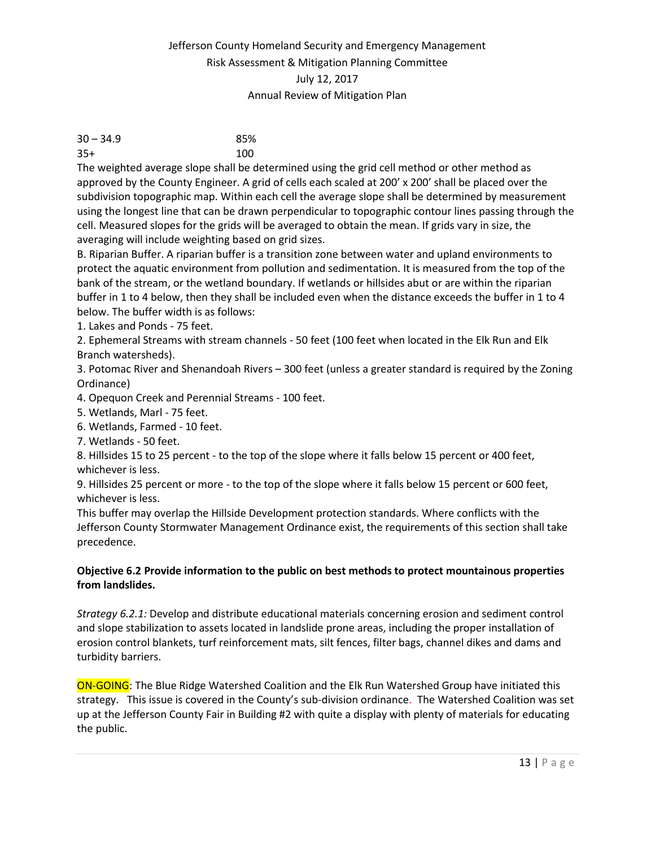| $30 - 34.9$ | 85% |
|-------------|-----|
| $35+$       | 100 |

The weighted average slope shall be determined using the grid cell method or other method as approved by the County Engineer. A grid of cells each scaled at 200' x 200' shall be placed over the subdivision topographic map. Within each cell the average slope shall be determined by measurement using the longest line that can be drawn perpendicular to topographic contour lines passing through the cell. Measured slopes for the grids will be averaged to obtain the mean. If grids vary in size, the averaging will include weighting based on grid sizes.

B. Riparian Buffer. A riparian buffer is a transition zone between water and upland environments to protect the aquatic environment from pollution and sedimentation. It is measured from the top of the bank of the stream, or the wetland boundary. If wetlands or hillsides abut or are within the riparian buffer in 1 to 4 below, then they shall be included even when the distance exceeds the buffer in 1 to 4 below. The buffer width is as follows:

1. Lakes and Ponds - 75 feet.

2. Ephemeral Streams with stream channels - 50 feet (100 feet when located in the Elk Run and Elk Branch watersheds).

3. Potomac River and Shenandoah Rivers – 300 feet (unless a greater standard is required by the Zoning Ordinance)

4. Opequon Creek and Perennial Streams - 100 feet.

5. Wetlands, Marl - 75 feet.

6. Wetlands, Farmed - 10 feet.

7. Wetlands - 50 feet.

8. Hillsides 15 to 25 percent - to the top of the slope where it falls below 15 percent or 400 feet, whichever is less.

9. Hillsides 25 percent or more - to the top of the slope where it falls below 15 percent or 600 feet, whichever is less.

This buffer may overlap the Hillside Development protection standards. Where conflicts with the Jefferson County Stormwater Management Ordinance exist, the requirements of this section shall take precedence.

#### **Objective 6.2 Provide information to the public on best methods to protect mountainous properties from landslides.**

*Strategy 6.2.1:* Develop and distribute educational materials concerning erosion and sediment control and slope stabilization to assets located in landslide prone areas, including the proper installation of erosion control blankets, turf reinforcement mats, silt fences, filter bags, channel dikes and dams and turbidity barriers.

ON-GOING: The Blue Ridge Watershed Coalition and the Elk Run Watershed Group have initiated this strategy. This issue is covered in the County's sub-division ordinance. The Watershed Coalition was set up at the Jefferson County Fair in Building #2 with quite a display with plenty of materials for educating the public.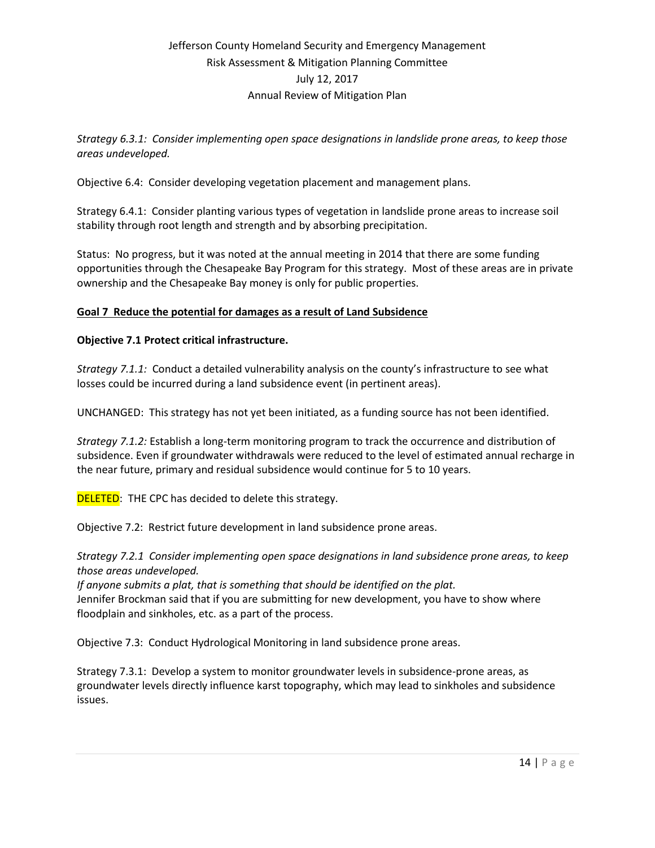*Strategy 6.3.1: Consider implementing open space designations in landslide prone areas, to keep those areas undeveloped.*

Objective 6.4: Consider developing vegetation placement and management plans.

Strategy 6.4.1: Consider planting various types of vegetation in landslide prone areas to increase soil stability through root length and strength and by absorbing precipitation.

Status: No progress, but it was noted at the annual meeting in 2014 that there are some funding opportunities through the Chesapeake Bay Program for this strategy. Most of these areas are in private ownership and the Chesapeake Bay money is only for public properties.

#### **Goal 7 Reduce the potential for damages as a result of Land Subsidence**

#### **Objective 7.1 Protect critical infrastructure.**

*Strategy 7.1.1:* Conduct a detailed vulnerability analysis on the county's infrastructure to see what losses could be incurred during a land subsidence event (in pertinent areas).

UNCHANGED: This strategy has not yet been initiated, as a funding source has not been identified.

*Strategy 7.1.2:* Establish a long-term monitoring program to track the occurrence and distribution of subsidence. Even if groundwater withdrawals were reduced to the level of estimated annual recharge in the near future, primary and residual subsidence would continue for 5 to 10 years.

**DELETED:** THE CPC has decided to delete this strategy.

Objective 7.2: Restrict future development in land subsidence prone areas.

*Strategy 7.2.1 Consider implementing open space designations in land subsidence prone areas, to keep those areas undeveloped.*

*If anyone submits a plat, that is something that should be identified on the plat.* Jennifer Brockman said that if you are submitting for new development, you have to show where floodplain and sinkholes, etc. as a part of the process.

Objective 7.3: Conduct Hydrological Monitoring in land subsidence prone areas.

Strategy 7.3.1: Develop a system to monitor groundwater levels in subsidence-prone areas, as groundwater levels directly influence karst topography, which may lead to sinkholes and subsidence issues.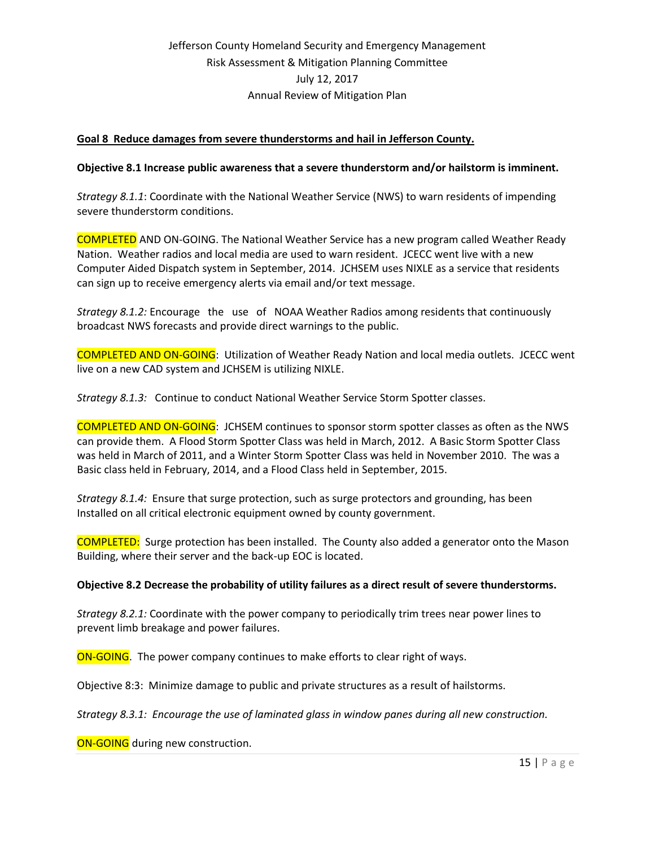#### **Goal 8 Reduce damages from severe thunderstorms and hail in Jefferson County.**

#### **Objective 8.1 Increase public awareness that a severe thunderstorm and/or hailstorm is imminent.**

*Strategy 8.1.1*: Coordinate with the National Weather Service (NWS) to warn residents of impending severe thunderstorm conditions.

COMPLETED AND ON-GOING. The National Weather Service has a new program called Weather Ready Nation. Weather radios and local media are used to warn resident. JCECC went live with a new Computer Aided Dispatch system in September, 2014. JCHSEM uses NIXLE as a service that residents can sign up to receive emergency alerts via email and/or text message.

*Strategy 8.1.2:* Encourage the use of NOAA Weather Radios among residents that continuously broadcast NWS forecasts and provide direct warnings to the public.

COMPLETED AND ON-GOING: Utilization of Weather Ready Nation and local media outlets. JCECC went live on a new CAD system and JCHSEM is utilizing NIXLE.

*Strategy 8.1.3:* Continue to conduct National Weather Service Storm Spotter classes.

COMPLETED AND ON-GOING: JCHSEM continues to sponsor storm spotter classes as often as the NWS can provide them. A Flood Storm Spotter Class was held in March, 2012. A Basic Storm Spotter Class was held in March of 2011, and a Winter Storm Spotter Class was held in November 2010. The was a Basic class held in February, 2014, and a Flood Class held in September, 2015.

*Strategy 8.1.4:* Ensure that surge protection, such as surge protectors and grounding, has been Installed on all critical electronic equipment owned by county government.

COMPLETED: Surge protection has been installed. The County also added a generator onto the Mason Building, where their server and the back-up EOC is located.

#### **Objective 8.2 Decrease the probability of utility failures as a direct result of severe thunderstorms.**

*Strategy 8.2.1:* Coordinate with the power company to periodically trim trees near power lines to prevent limb breakage and power failures.

ON-GOING. The power company continues to make efforts to clear right of ways.

Objective 8:3: Minimize damage to public and private structures as a result of hailstorms.

*Strategy 8.3.1: Encourage the use of laminated glass in window panes during all new construction.*

ON-GOING during new construction.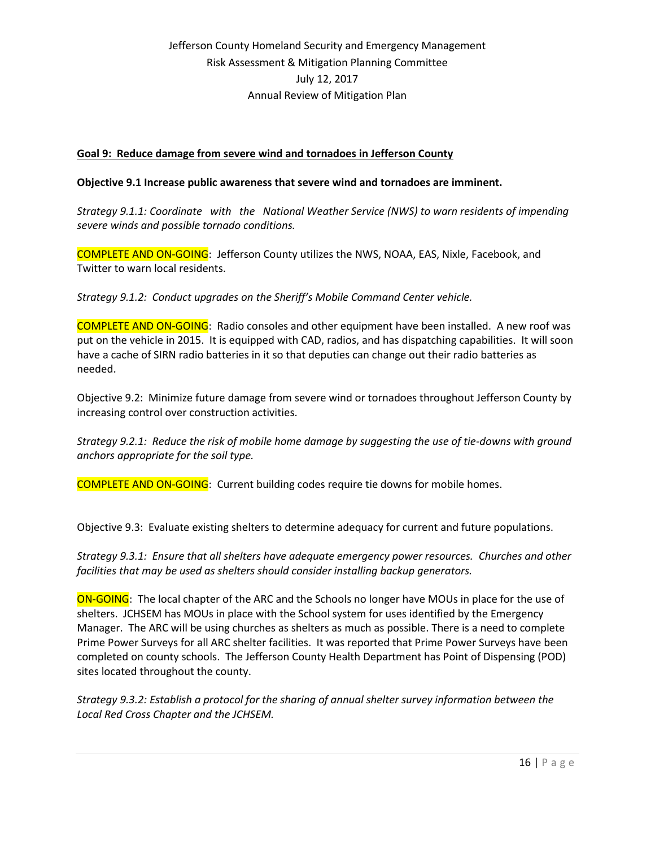#### **Goal 9: Reduce damage from severe wind and tornadoes in Jefferson County**

#### **Objective 9.1 Increase public awareness that severe wind and tornadoes are imminent.**

*Strategy 9.1.1: Coordinate with the National Weather Service (NWS) to warn residents of impending severe winds and possible tornado conditions.*

COMPLETE AND ON-GOING: Jefferson County utilizes the NWS, NOAA, EAS, Nixle, Facebook, and Twitter to warn local residents.

*Strategy 9.1.2: Conduct upgrades on the Sheriff's Mobile Command Center vehicle.*

COMPLETE AND ON-GOING: Radio consoles and other equipment have been installed. A new roof was put on the vehicle in 2015. It is equipped with CAD, radios, and has dispatching capabilities. It will soon have a cache of SIRN radio batteries in it so that deputies can change out their radio batteries as needed.

Objective 9.2: Minimize future damage from severe wind or tornadoes throughout Jefferson County by increasing control over construction activities.

*Strategy 9.2.1: Reduce the risk of mobile home damage by suggesting the use of tie-downs with ground anchors appropriate for the soil type.*

COMPLETE AND ON-GOING: Current building codes require tie downs for mobile homes.

Objective 9.3: Evaluate existing shelters to determine adequacy for current and future populations.

*Strategy 9.3.1: Ensure that all shelters have adequate emergency power resources. Churches and other facilities that may be used as shelters should consider installing backup generators.*

ON-GOING: The local chapter of the ARC and the Schools no longer have MOUs in place for the use of shelters. JCHSEM has MOUs in place with the School system for uses identified by the Emergency Manager. The ARC will be using churches as shelters as much as possible. There is a need to complete Prime Power Surveys for all ARC shelter facilities. It was reported that Prime Power Surveys have been completed on county schools. The Jefferson County Health Department has Point of Dispensing (POD) sites located throughout the county.

*Strategy 9.3.2: Establish a protocol for the sharing of annual shelter survey information between the Local Red Cross Chapter and the JCHSEM.*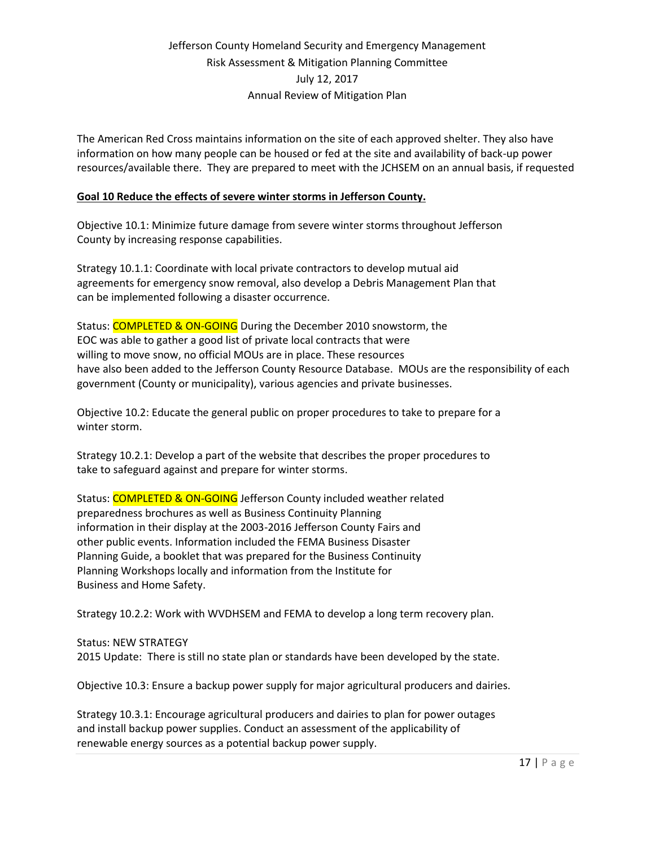The American Red Cross maintains information on the site of each approved shelter. They also have information on how many people can be housed or fed at the site and availability of back-up power resources/available there. They are prepared to meet with the JCHSEM on an annual basis, if requested

### **Goal 10 Reduce the effects of severe winter storms in Jefferson County.**

Objective 10.1: Minimize future damage from severe winter storms throughout Jefferson County by increasing response capabilities.

Strategy 10.1.1: Coordinate with local private contractors to develop mutual aid agreements for emergency snow removal, also develop a Debris Management Plan that can be implemented following a disaster occurrence.

Status: **COMPLETED & ON-GOING** During the December 2010 snowstorm, the EOC was able to gather a good list of private local contracts that were willing to move snow, no official MOUs are in place. These resources have also been added to the Jefferson County Resource Database. MOUs are the responsibility of each government (County or municipality), various agencies and private businesses.

Objective 10.2: Educate the general public on proper procedures to take to prepare for a winter storm.

Strategy 10.2.1: Develop a part of the website that describes the proper procedures to take to safeguard against and prepare for winter storms.

Status: COMPLETED & ON-GOING Jefferson County included weather related preparedness brochures as well as Business Continuity Planning information in their display at the 2003-2016 Jefferson County Fairs and other public events. Information included the FEMA Business Disaster Planning Guide, a booklet that was prepared for the Business Continuity Planning Workshops locally and information from the Institute for Business and Home Safety.

Strategy 10.2.2: Work with WVDHSEM and FEMA to develop a long term recovery plan.

Status: NEW STRATEGY 2015 Update: There is still no state plan or standards have been developed by the state.

Objective 10.3: Ensure a backup power supply for major agricultural producers and dairies.

Strategy 10.3.1: Encourage agricultural producers and dairies to plan for power outages and install backup power supplies. Conduct an assessment of the applicability of renewable energy sources as a potential backup power supply.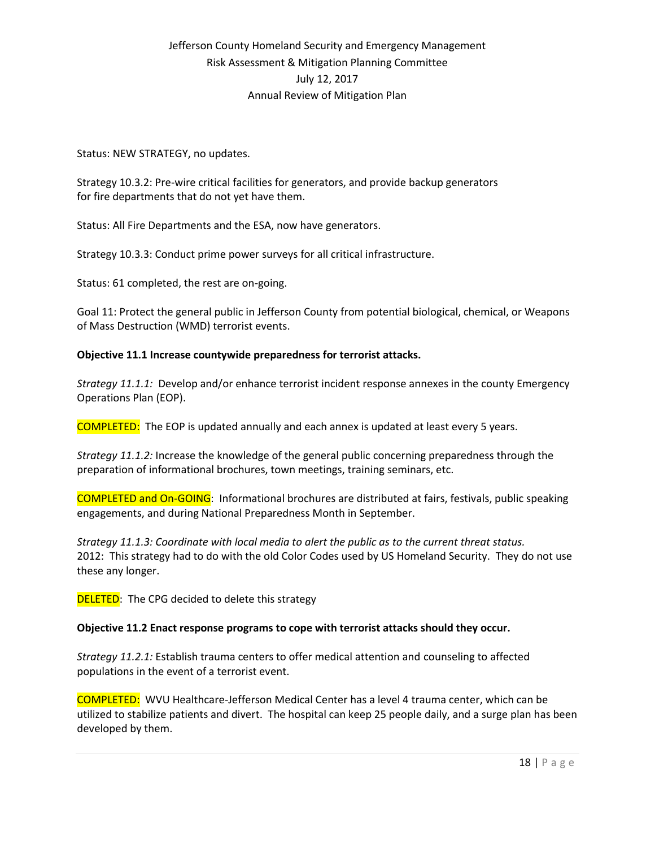Status: NEW STRATEGY, no updates.

Strategy 10.3.2: Pre-wire critical facilities for generators, and provide backup generators for fire departments that do not yet have them.

Status: All Fire Departments and the ESA, now have generators.

Strategy 10.3.3: Conduct prime power surveys for all critical infrastructure.

Status: 61 completed, the rest are on-going.

Goal 11: Protect the general public in Jefferson County from potential biological, chemical, or Weapons of Mass Destruction (WMD) terrorist events.

#### **Objective 11.1 Increase countywide preparedness for terrorist attacks.**

*Strategy 11.1.1:* Develop and/or enhance terrorist incident response annexes in the county Emergency Operations Plan (EOP).

COMPLETED: The EOP is updated annually and each annex is updated at least every 5 years.

*Strategy 11.1.2:* Increase the knowledge of the general public concerning preparedness through the preparation of informational brochures, town meetings, training seminars, etc.

COMPLETED and On-GOING: Informational brochures are distributed at fairs, festivals, public speaking engagements, and during National Preparedness Month in September.

*Strategy 11.1.3: Coordinate with local media to alert the public as to the current threat status.* 2012: This strategy had to do with the old Color Codes used by US Homeland Security. They do not use these any longer.

**DELETED:** The CPG decided to delete this strategy

#### **Objective 11.2 Enact response programs to cope with terrorist attacks should they occur.**

*Strategy 11.2.1:* Establish trauma centers to offer medical attention and counseling to affected populations in the event of a terrorist event.

COMPLETED: WVU Healthcare-Jefferson Medical Center has a level 4 trauma center, which can be utilized to stabilize patients and divert. The hospital can keep 25 people daily, and a surge plan has been developed by them.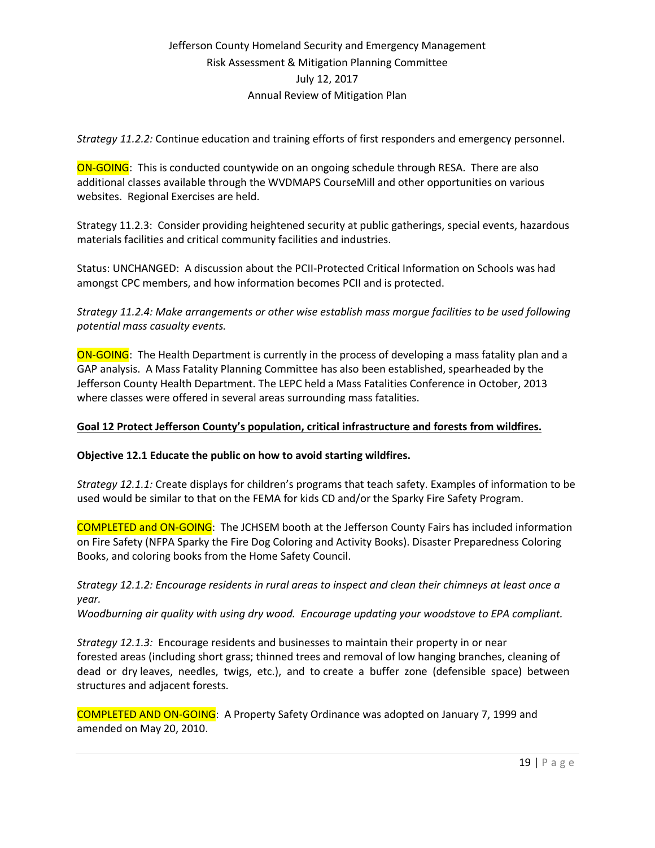*Strategy 11.2.2:* Continue education and training efforts of first responders and emergency personnel.

ON-GOING: This is conducted countywide on an ongoing schedule through RESA. There are also additional classes available through the WVDMAPS CourseMill and other opportunities on various websites. Regional Exercises are held.

Strategy 11.2.3: Consider providing heightened security at public gatherings, special events, hazardous materials facilities and critical community facilities and industries.

Status: UNCHANGED: A discussion about the PCII-Protected Critical Information on Schools was had amongst CPC members, and how information becomes PCII and is protected.

*Strategy 11.2.4: Make arrangements or other wise establish mass morgue facilities to be used following potential mass casualty events.* 

ON-GOING: The Health Department is currently in the process of developing a mass fatality plan and a GAP analysis. A Mass Fatality Planning Committee has also been established, spearheaded by the Jefferson County Health Department. The LEPC held a Mass Fatalities Conference in October, 2013 where classes were offered in several areas surrounding mass fatalities.

### **Goal 12 Protect Jefferson County's population, critical infrastructure and forests from wildfires.**

#### **Objective 12.1 Educate the public on how to avoid starting wildfires.**

*Strategy 12.1.1:* Create displays for children's programs that teach safety. Examples of information to be used would be similar to that on the FEMA for kids CD and/or the Sparky Fire Safety Program.

COMPLETED and ON-GOING: The JCHSEM booth at the Jefferson County Fairs has included information on Fire Safety (NFPA Sparky the Fire Dog Coloring and Activity Books). Disaster Preparedness Coloring Books, and coloring books from the Home Safety Council.

#### *Strategy 12.1.2: Encourage residents in rural areas to inspect and clean their chimneys at least once a year.*

*Woodburning air quality with using dry wood. Encourage updating your woodstove to EPA compliant.*

*Strategy 12.1.3:* Encourage residents and businesses to maintain their property in or near forested areas (including short grass; thinned trees and removal of low hanging branches, cleaning of dead or dry leaves, needles, twigs, etc.), and to create a buffer zone (defensible space) between structures and adjacent forests.

COMPLETED AND ON-GOING: A Property Safety Ordinance was adopted on January 7, 1999 and amended on May 20, 2010.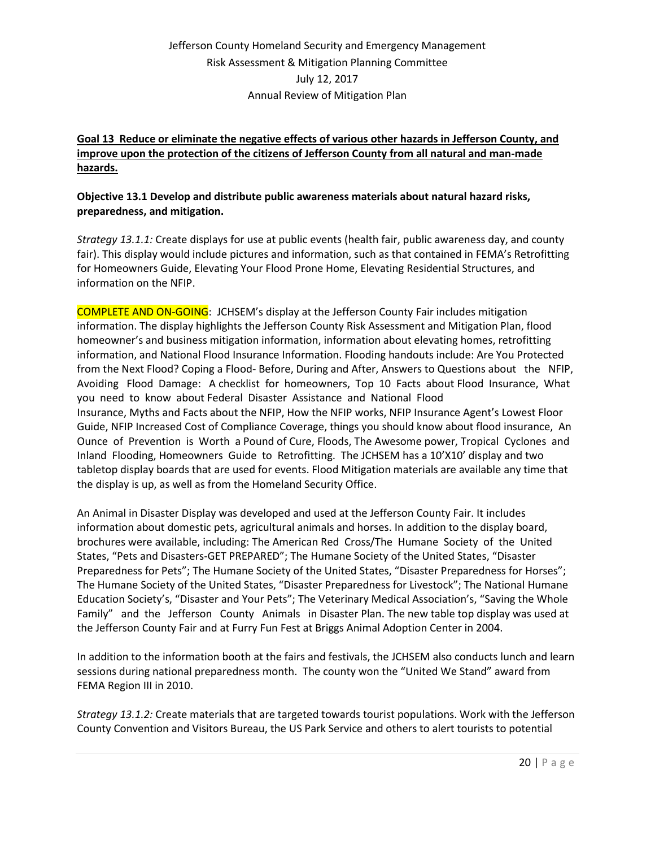### **Goal 13 Reduce or eliminate the negative effects of various other hazards in Jefferson County, and improve upon the protection of the citizens of Jefferson County from all natural and man-made hazards.**

### **Objective 13.1 Develop and distribute public awareness materials about natural hazard risks, preparedness, and mitigation.**

*Strategy 13.1.1:* Create displays for use at public events (health fair, public awareness day, and county fair). This display would include pictures and information, such as that contained in FEMA's Retrofitting for Homeowners Guide, Elevating Your Flood Prone Home, Elevating Residential Structures, and information on the NFIP.

COMPLETE AND ON-GOING: JCHSEM's display at the Jefferson County Fair includes mitigation information. The display highlights the Jefferson County Risk Assessment and Mitigation Plan, flood homeowner's and business mitigation information, information about elevating homes, retrofitting information, and National Flood Insurance Information. Flooding handouts include: Are You Protected from the Next Flood? Coping a Flood- Before, During and After, Answers to Questions about the NFIP, Avoiding Flood Damage: A checklist for homeowners, Top 10 Facts about Flood Insurance, What you need to know about Federal Disaster Assistance and National Flood Insurance, Myths and Facts about the NFIP, How the NFIP works, NFIP Insurance Agent's Lowest Floor Guide, NFIP Increased Cost of Compliance Coverage, things you should know about flood insurance, An Ounce of Prevention is Worth a Pound of Cure, Floods, The Awesome power, Tropical Cyclones and Inland Flooding, Homeowners Guide to Retrofitting. The JCHSEM has a 10'X10' display and two tabletop display boards that are used for events. Flood Mitigation materials are available any time that the display is up, as well as from the Homeland Security Office.

An Animal in Disaster Display was developed and used at the Jefferson County Fair. It includes information about domestic pets, agricultural animals and horses. In addition to the display board, brochures were available, including: The American Red Cross/The Humane Society of the United States, "Pets and Disasters-GET PREPARED"; The Humane Society of the United States, "Disaster Preparedness for Pets"; The Humane Society of the United States, "Disaster Preparedness for Horses"; The Humane Society of the United States, "Disaster Preparedness for Livestock"; The National Humane Education Society's, "Disaster and Your Pets"; The Veterinary Medical Association's, "Saving the Whole Family" and the Jefferson County Animals in Disaster Plan. The new table top display was used at the Jefferson County Fair and at Furry Fun Fest at Briggs Animal Adoption Center in 2004.

In addition to the information booth at the fairs and festivals, the JCHSEM also conducts lunch and learn sessions during national preparedness month. The county won the "United We Stand" award from FEMA Region III in 2010.

*Strategy 13.1.2:* Create materials that are targeted towards tourist populations. Work with the Jefferson County Convention and Visitors Bureau, the US Park Service and others to alert tourists to potential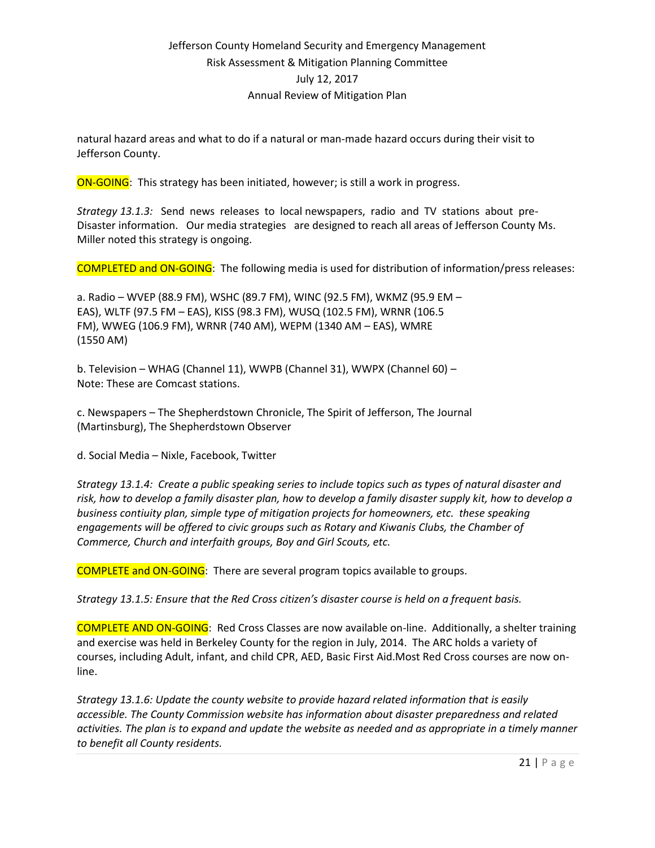natural hazard areas and what to do if a natural or man-made hazard occurs during their visit to Jefferson County.

ON-GOING: This strategy has been initiated, however; is still a work in progress.

*Strategy 13.1.3:* Send news releases to local newspapers, radio and TV stations about pre-Disaster information. Our media strategies are designed to reach all areas of Jefferson County Ms. Miller noted this strategy is ongoing.

COMPLETED and ON-GOING: The following media is used for distribution of information/press releases:

a. Radio – WVEP (88.9 FM), WSHC (89.7 FM), WINC (92.5 FM), WKMZ (95.9 EM – EAS), WLTF (97.5 FM – EAS), KISS (98.3 FM), WUSQ (102.5 FM), WRNR (106.5 FM), WWEG (106.9 FM), WRNR (740 AM), WEPM (1340 AM – EAS), WMRE (1550 AM)

b. Television – WHAG (Channel 11), WWPB (Channel 31), WWPX (Channel 60) – Note: These are Comcast stations.

c. Newspapers – The Shepherdstown Chronicle, The Spirit of Jefferson, The Journal (Martinsburg), The Shepherdstown Observer

d. Social Media – Nixle, Facebook, Twitter

*Strategy 13.1.4: Create a public speaking series to include topics such as types of natural disaster and risk, how to develop a family disaster plan, how to develop a family disaster supply kit, how to develop a business contiuity plan, simple type of mitigation projects for homeowners, etc. these speaking engagements will be offered to civic groups such as Rotary and Kiwanis Clubs, the Chamber of Commerce, Church and interfaith groups, Boy and Girl Scouts, etc.*

COMPLETE and ON-GOING: There are several program topics available to groups.

*Strategy 13.1.5: Ensure that the Red Cross citizen's disaster course is held on a frequent basis.*

COMPLETE AND ON-GOING: Red Cross Classes are now available on-line. Additionally, a shelter training and exercise was held in Berkeley County for the region in July, 2014. The ARC holds a variety of courses, including Adult, infant, and child CPR, AED, Basic First Aid.Most Red Cross courses are now online.

*Strategy 13.1.6: Update the county website to provide hazard related information that is easily accessible. The County Commission website has information about disaster preparedness and related activities. The plan is to expand and update the website as needed and as appropriate in a timely manner to benefit all County residents.*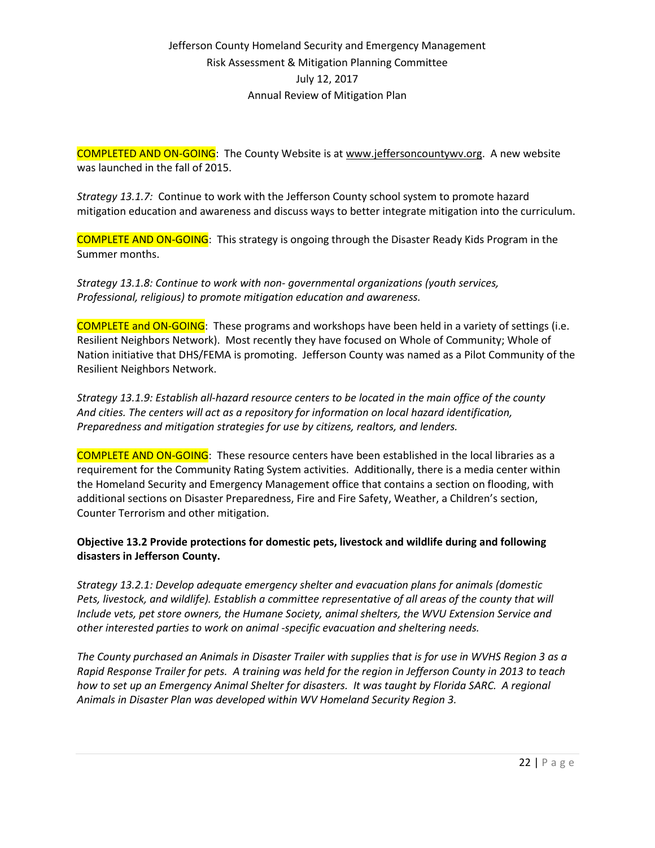COMPLETED AND ON-GOING: The County Website is at [www.jeffersoncountywv.org.](http://www.jeffersoncountywv.org/) A new website was launched in the fall of 2015.

*Strategy 13.1.7:* Continue to work with the Jefferson County school system to promote hazard mitigation education and awareness and discuss ways to better integrate mitigation into the curriculum.

COMPLETE AND ON-GOING: This strategy is ongoing through the Disaster Ready Kids Program in the Summer months.

*Strategy 13.1.8: Continue to work with non- governmental organizations (youth services, Professional, religious) to promote mitigation education and awareness.*

COMPLETE and ON-GOING: These programs and workshops have been held in a variety of settings (i.e. Resilient Neighbors Network). Most recently they have focused on Whole of Community; Whole of Nation initiative that DHS/FEMA is promoting. Jefferson County was named as a Pilot Community of the Resilient Neighbors Network.

*Strategy 13.1.9: Establish all-hazard resource centers to be located in the main office of the county And cities. The centers will act as a repository for information on local hazard identification, Preparedness and mitigation strategies for use by citizens, realtors, and lenders.*

COMPLETE AND ON-GOING: These resource centers have been established in the local libraries as a requirement for the Community Rating System activities. Additionally, there is a media center within the Homeland Security and Emergency Management office that contains a section on flooding, with additional sections on Disaster Preparedness, Fire and Fire Safety, Weather, a Children's section, Counter Terrorism and other mitigation.

### **Objective 13.2 Provide protections for domestic pets, livestock and wildlife during and following disasters in Jefferson County.**

*Strategy 13.2.1: Develop adequate emergency shelter and evacuation plans for animals (domestic Pets, livestock, and wildlife). Establish a committee representative of all areas of the county that will Include vets, pet store owners, the Humane Society, animal shelters, the WVU Extension Service and other interested parties to work on animal -specific evacuation and sheltering needs.*

*The County purchased an Animals in Disaster Trailer with supplies that is for use in WVHS Region 3 as a Rapid Response Trailer for pets. A training was held for the region in Jefferson County in 2013 to teach how to set up an Emergency Animal Shelter for disasters. It was taught by Florida SARC. A regional Animals in Disaster Plan was developed within WV Homeland Security Region 3.*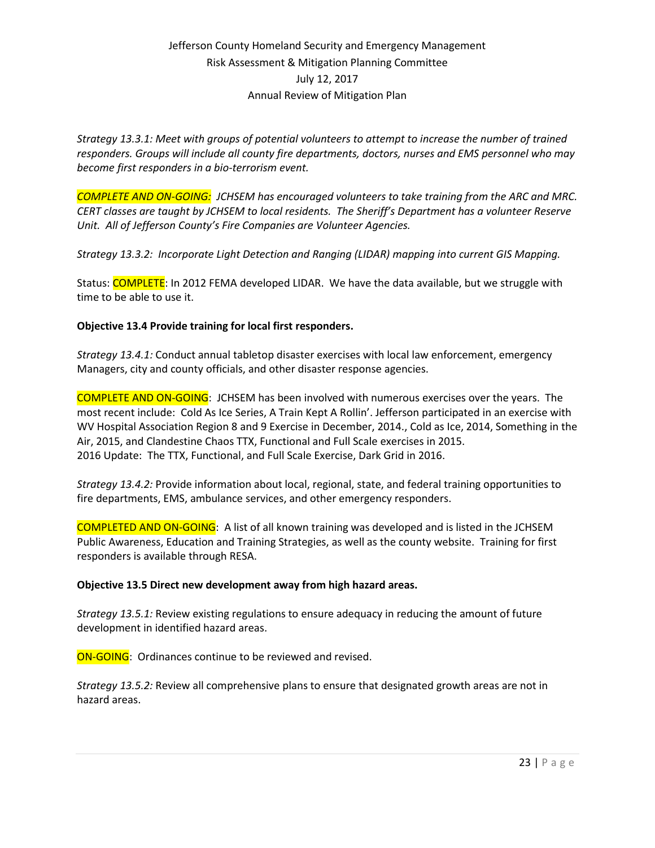*Strategy 13.3.1: Meet with groups of potential volunteers to attempt to increase the number of trained responders. Groups will include all county fire departments, doctors, nurses and EMS personnel who may become first responders in a bio-terrorism event.*

*COMPLETE AND ON-GOING: JCHSEM has encouraged volunteers to take training from the ARC and MRC. CERT classes are taught by JCHSEM to local residents. The Sheriff's Department has a volunteer Reserve Unit. All of Jefferson County's Fire Companies are Volunteer Agencies.*

*Strategy 13.3.2: Incorporate Light Detection and Ranging (LIDAR) mapping into current GIS Mapping.*

Status: COMPLETE: In 2012 FEMA developed LIDAR. We have the data available, but we struggle with time to be able to use it.

#### **Objective 13.4 Provide training for local first responders.**

*Strategy 13.4.1:* Conduct annual tabletop disaster exercises with local law enforcement, emergency Managers, city and county officials, and other disaster response agencies.

COMPLETE AND ON-GOING: JCHSEM has been involved with numerous exercises over the years. The most recent include: Cold As Ice Series, A Train Kept A Rollin'. Jefferson participated in an exercise with WV Hospital Association Region 8 and 9 Exercise in December, 2014., Cold as Ice, 2014, Something in the Air, 2015, and Clandestine Chaos TTX, Functional and Full Scale exercises in 2015. 2016 Update: The TTX, Functional, and Full Scale Exercise, Dark Grid in 2016.

*Strategy 13.4.2:* Provide information about local, regional, state, and federal training opportunities to fire departments, EMS, ambulance services, and other emergency responders.

COMPLETED AND ON-GOING: A list of all known training was developed and is listed in the JCHSEM Public Awareness, Education and Training Strategies, as well as the county website. Training for first responders is available through RESA.

#### **Objective 13.5 Direct new development away from high hazard areas.**

*Strategy 13.5.1:* Review existing regulations to ensure adequacy in reducing the amount of future development in identified hazard areas.

ON-GOING: Ordinances continue to be reviewed and revised.

*Strategy 13.5.2:* Review all comprehensive plans to ensure that designated growth areas are not in hazard areas.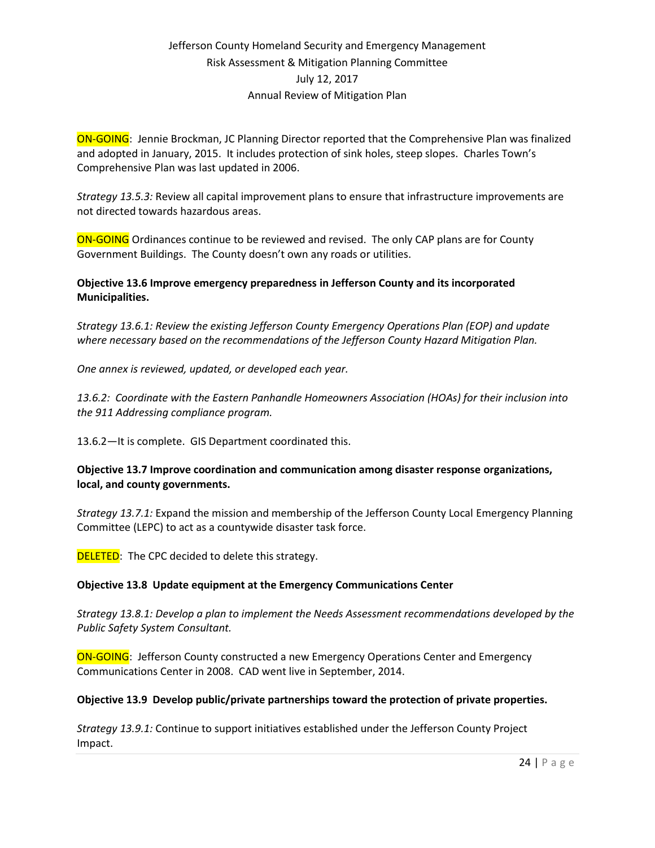ON-GOING: Jennie Brockman, JC Planning Director reported that the Comprehensive Plan was finalized and adopted in January, 2015. It includes protection of sink holes, steep slopes. Charles Town's Comprehensive Plan was last updated in 2006.

*Strategy 13.5.3:* Review all capital improvement plans to ensure that infrastructure improvements are not directed towards hazardous areas.

**ON-GOING** Ordinances continue to be reviewed and revised. The only CAP plans are for County Government Buildings. The County doesn't own any roads or utilities.

### **Objective 13.6 Improve emergency preparedness in Jefferson County and its incorporated Municipalities.**

*Strategy 13.6.1: Review the existing Jefferson County Emergency Operations Plan (EOP) and update where necessary based on the recommendations of the Jefferson County Hazard Mitigation Plan.*

*One annex is reviewed, updated, or developed each year.* 

*13.6.2: Coordinate with the Eastern Panhandle Homeowners Association (HOAs) for their inclusion into the 911 Addressing compliance program.*

13.6.2—It is complete. GIS Department coordinated this.

### **Objective 13.7 Improve coordination and communication among disaster response organizations, local, and county governments.**

*Strategy 13.7.1:* Expand the mission and membership of the Jefferson County Local Emergency Planning Committee (LEPC) to act as a countywide disaster task force.

**DELETED:** The CPC decided to delete this strategy.

### **Objective 13.8 Update equipment at the Emergency Communications Center**

*Strategy 13.8.1: Develop a plan to implement the Needs Assessment recommendations developed by the Public Safety System Consultant.*

ON-GOING: Jefferson County constructed a new Emergency Operations Center and Emergency Communications Center in 2008. CAD went live in September, 2014.

### **Objective 13.9 Develop public/private partnerships toward the protection of private properties.**

*Strategy 13.9.1:* Continue to support initiatives established under the Jefferson County Project Impact.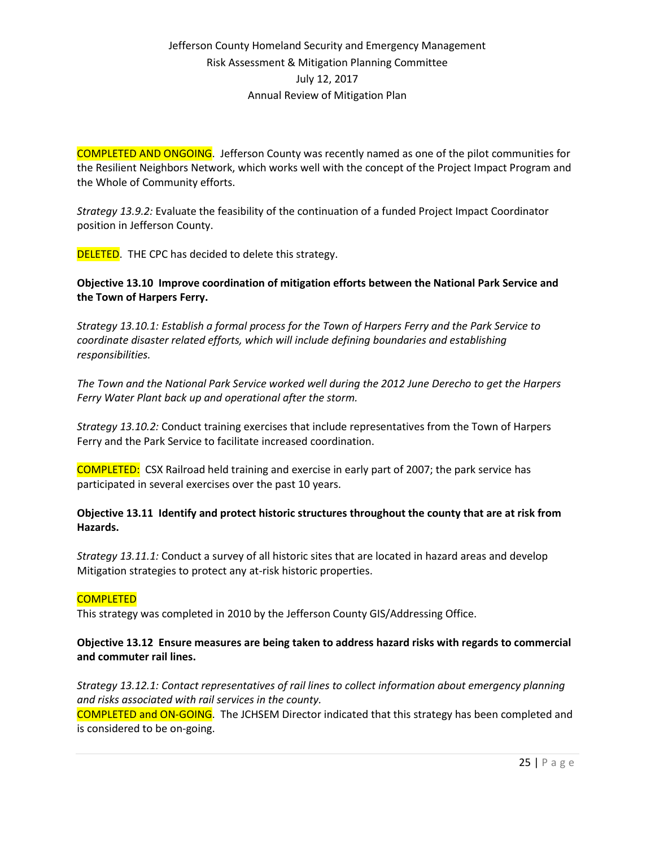COMPLETED AND ONGOING. Jefferson County was recently named as one of the pilot communities for the Resilient Neighbors Network, which works well with the concept of the Project Impact Program and the Whole of Community efforts.

*Strategy 13.9.2:* Evaluate the feasibility of the continuation of a funded Project Impact Coordinator position in Jefferson County.

**DELETED.** THE CPC has decided to delete this strategy.

#### **Objective 13.10 Improve coordination of mitigation efforts between the National Park Service and the Town of Harpers Ferry.**

*Strategy 13.10.1: Establish a formal process for the Town of Harpers Ferry and the Park Service to coordinate disaster related efforts, which will include defining boundaries and establishing responsibilities.*

*The Town and the National Park Service worked well during the 2012 June Derecho to get the Harpers Ferry Water Plant back up and operational after the storm.*

*Strategy 13.10.2:* Conduct training exercises that include representatives from the Town of Harpers Ferry and the Park Service to facilitate increased coordination.

COMPLETED: CSX Railroad held training and exercise in early part of 2007; the park service has participated in several exercises over the past 10 years.

#### **Objective 13.11 Identify and protect historic structures throughout the county that are at risk from Hazards.**

*Strategy 13.11.1:* Conduct a survey of all historic sites that are located in hazard areas and develop Mitigation strategies to protect any at-risk historic properties.

#### **COMPLETED**

This strategy was completed in 2010 by the Jefferson County GIS/Addressing Office.

### **Objective 13.12 Ensure measures are being taken to address hazard risks with regards to commercial and commuter rail lines.**

*Strategy 13.12.1: Contact representatives of rail lines to collect information about emergency planning and risks associated with rail services in the county.* COMPLETED and ON-GOING. The JCHSEM Director indicated that this strategy has been completed and is considered to be on-going.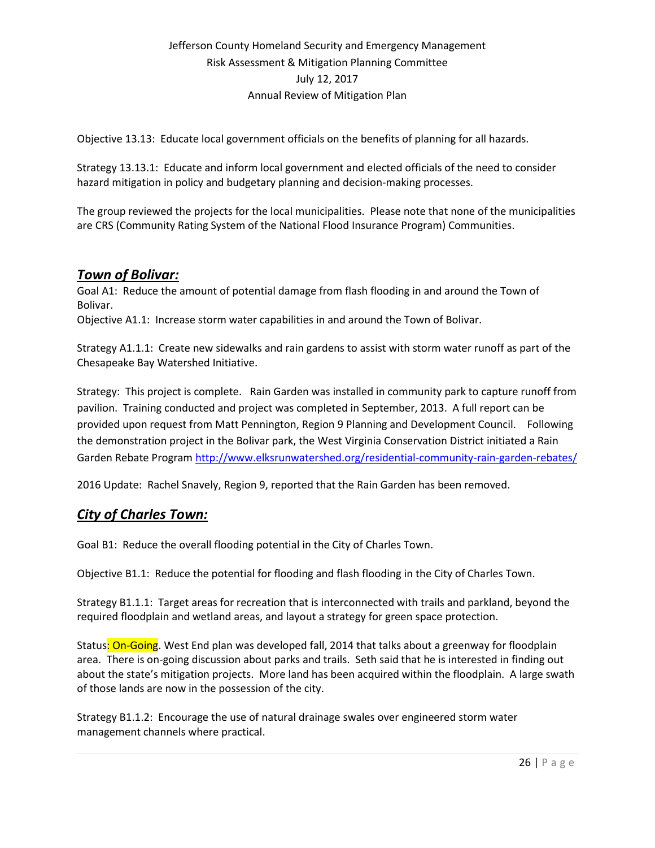Objective 13.13: Educate local government officials on the benefits of planning for all hazards.

Strategy 13.13.1: Educate and inform local government and elected officials of the need to consider hazard mitigation in policy and budgetary planning and decision-making processes.

The group reviewed the projects for the local municipalities. Please note that none of the municipalities are CRS (Community Rating System of the National Flood Insurance Program) Communities.

# *Town of Bolivar:*

Goal A1: Reduce the amount of potential damage from flash flooding in and around the Town of Bolivar.

Objective A1.1: Increase storm water capabilities in and around the Town of Bolivar.

Strategy A1.1.1: Create new sidewalks and rain gardens to assist with storm water runoff as part of the Chesapeake Bay Watershed Initiative.

Strategy: This project is complete. Rain Garden was installed in community park to capture runoff from pavilion. Training conducted and project was completed in September, 2013. A full report can be provided upon request from Matt Pennington, Region 9 Planning and Development Council. Following the demonstration project in the Bolivar park, the West Virginia Conservation District initiated a Rain Garden Rebate Progra[m http://www.elksrunwatershed.org/residential-community-rain-garden-rebates/](http://www.elksrunwatershed.org/residential-community-rain-garden-rebates/)

2016 Update: Rachel Snavely, Region 9, reported that the Rain Garden has been removed.

# *City of Charles Town:*

Goal B1: Reduce the overall flooding potential in the City of Charles Town.

Objective B1.1: Reduce the potential for flooding and flash flooding in the City of Charles Town.

Strategy B1.1.1: Target areas for recreation that is interconnected with trails and parkland, beyond the required floodplain and wetland areas, and layout a strategy for green space protection.

Status: On-Going. West End plan was developed fall, 2014 that talks about a greenway for floodplain area. There is on-going discussion about parks and trails. Seth said that he is interested in finding out about the state's mitigation projects. More land has been acquired within the floodplain. A large swath of those lands are now in the possession of the city.

Strategy B1.1.2: Encourage the use of natural drainage swales over engineered storm water management channels where practical.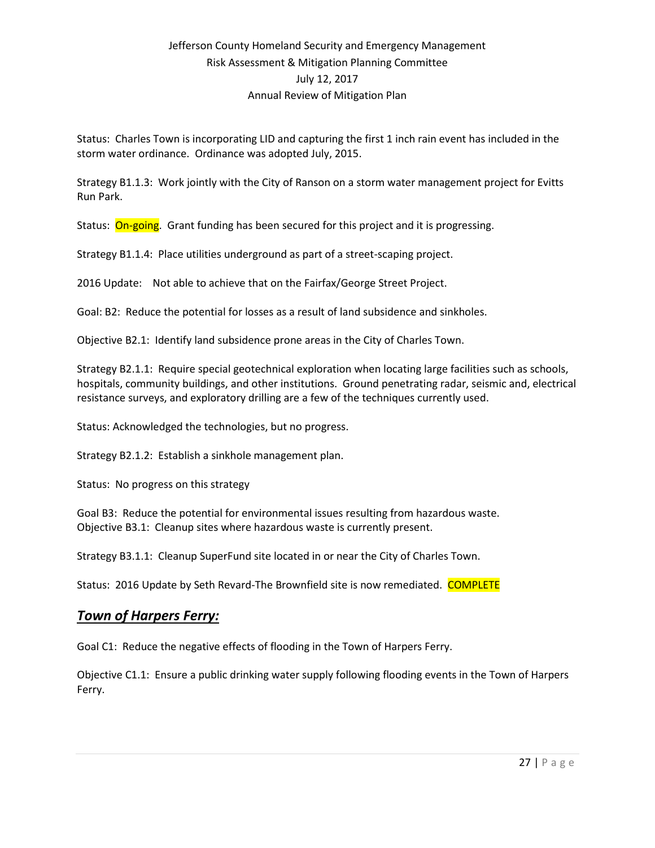Status: Charles Town is incorporating LID and capturing the first 1 inch rain event has included in the storm water ordinance. Ordinance was adopted July, 2015.

Strategy B1.1.3: Work jointly with the City of Ranson on a storm water management project for Evitts Run Park.

Status: On-going. Grant funding has been secured for this project and it is progressing.

Strategy B1.1.4: Place utilities underground as part of a street-scaping project.

2016 Update: Not able to achieve that on the Fairfax/George Street Project.

Goal: B2: Reduce the potential for losses as a result of land subsidence and sinkholes.

Objective B2.1: Identify land subsidence prone areas in the City of Charles Town.

Strategy B2.1.1: Require special geotechnical exploration when locating large facilities such as schools, hospitals, community buildings, and other institutions. Ground penetrating radar, seismic and, electrical resistance surveys, and exploratory drilling are a few of the techniques currently used.

Status: Acknowledged the technologies, but no progress.

Strategy B2.1.2: Establish a sinkhole management plan.

Status: No progress on this strategy

Goal B3: Reduce the potential for environmental issues resulting from hazardous waste. Objective B3.1: Cleanup sites where hazardous waste is currently present.

Strategy B3.1.1: Cleanup SuperFund site located in or near the City of Charles Town.

Status: 2016 Update by Seth Revard-The Brownfield site is now remediated. COMPLETE

### *Town of Harpers Ferry:*

Goal C1: Reduce the negative effects of flooding in the Town of Harpers Ferry.

Objective C1.1: Ensure a public drinking water supply following flooding events in the Town of Harpers Ferry.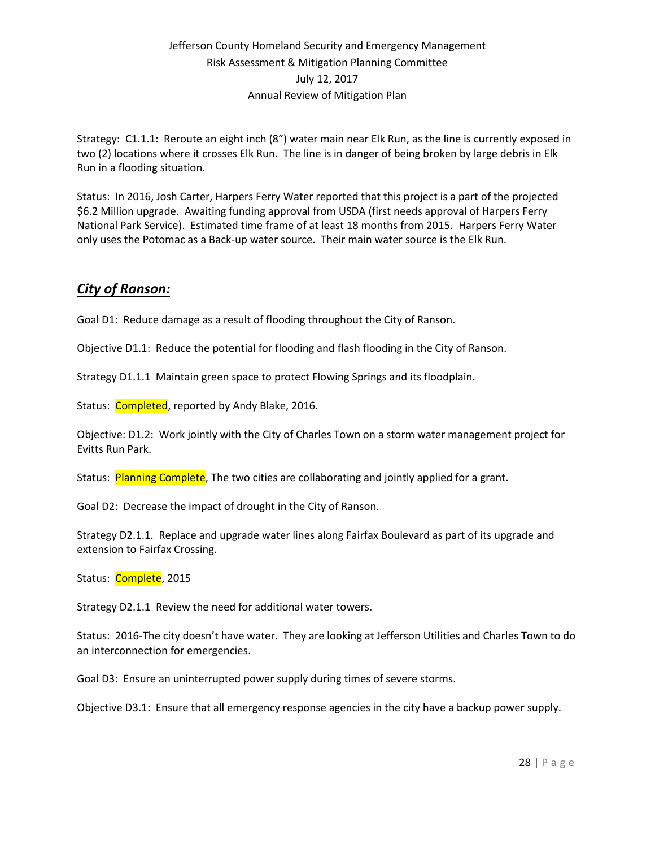Strategy: C1.1.1: Reroute an eight inch (8") water main near Elk Run, as the line is currently exposed in two (2) locations where it crosses Elk Run. The line is in danger of being broken by large debris in Elk Run in a flooding situation.

Status: In 2016, Josh Carter, Harpers Ferry Water reported that this project is a part of the projected \$6.2 Million upgrade. Awaiting funding approval from USDA (first needs approval of Harpers Ferry National Park Service). Estimated time frame of at least 18 months from 2015. Harpers Ferry Water only uses the Potomac as a Back-up water source. Their main water source is the Elk Run.

# *City of Ranson:*

Goal D1: Reduce damage as a result of flooding throughout the City of Ranson.

Objective D1.1: Reduce the potential for flooding and flash flooding in the City of Ranson.

Strategy D1.1.1 Maintain green space to protect Flowing Springs and its floodplain.

Status: Completed, reported by Andy Blake, 2016.

Objective: D1.2: Work jointly with the City of Charles Town on a storm water management project for Evitts Run Park.

Status: Planning Complete, The two cities are collaborating and jointly applied for a grant.

Goal D2: Decrease the impact of drought in the City of Ranson.

Strategy D2.1.1. Replace and upgrade water lines along Fairfax Boulevard as part of its upgrade and extension to Fairfax Crossing.

Status: Complete, 2015

Strategy D2.1.1 Review the need for additional water towers.

Status: 2016-The city doesn't have water. They are looking at Jefferson Utilities and Charles Town to do an interconnection for emergencies.

Goal D3: Ensure an uninterrupted power supply during times of severe storms.

Objective D3.1: Ensure that all emergency response agencies in the city have a backup power supply.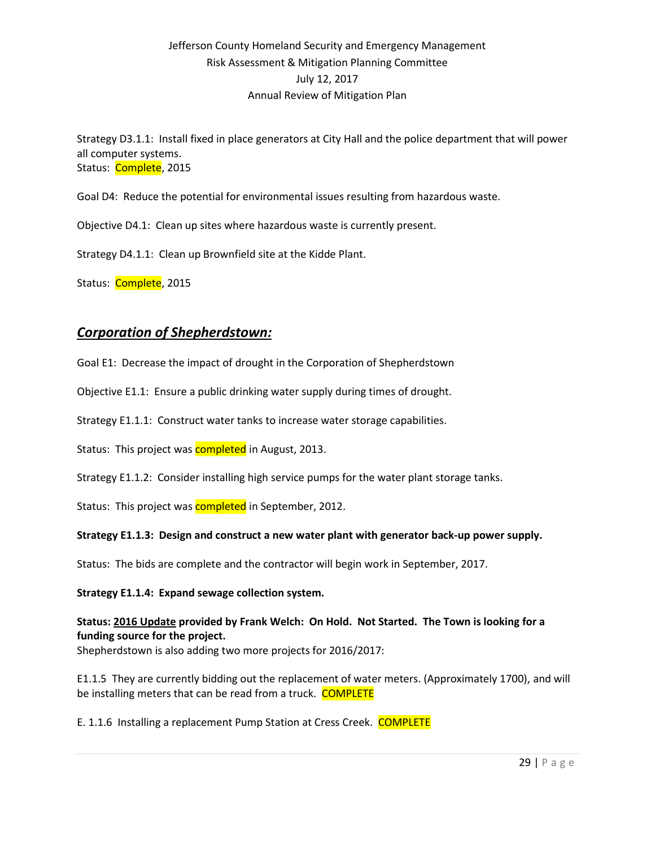Strategy D3.1.1: Install fixed in place generators at City Hall and the police department that will power all computer systems. Status: Complete, 2015

Goal D4: Reduce the potential for environmental issues resulting from hazardous waste.

Objective D4.1: Clean up sites where hazardous waste is currently present.

Strategy D4.1.1: Clean up Brownfield site at the Kidde Plant.

Status: Complete, 2015

## *Corporation of Shepherdstown:*

Goal E1: Decrease the impact of drought in the Corporation of Shepherdstown

Objective E1.1: Ensure a public drinking water supply during times of drought.

Strategy E1.1.1: Construct water tanks to increase water storage capabilities.

Status: This project was **completed** in August, 2013.

Strategy E1.1.2: Consider installing high service pumps for the water plant storage tanks.

Status: This project was **completed** in September, 2012.

#### **Strategy E1.1.3: Design and construct a new water plant with generator back-up power supply.**

Status: The bids are complete and the contractor will begin work in September, 2017.

#### **Strategy E1.1.4: Expand sewage collection system.**

**Status: 2016 Update provided by Frank Welch: On Hold. Not Started. The Town is looking for a funding source for the project.** Shepherdstown is also adding two more projects for 2016/2017:

E1.1.5 They are currently bidding out the replacement of water meters. (Approximately 1700), and will be installing meters that can be read from a truck. COMPLETE

E. 1.1.6 Installing a replacement Pump Station at Cress Creek. COMPLETE